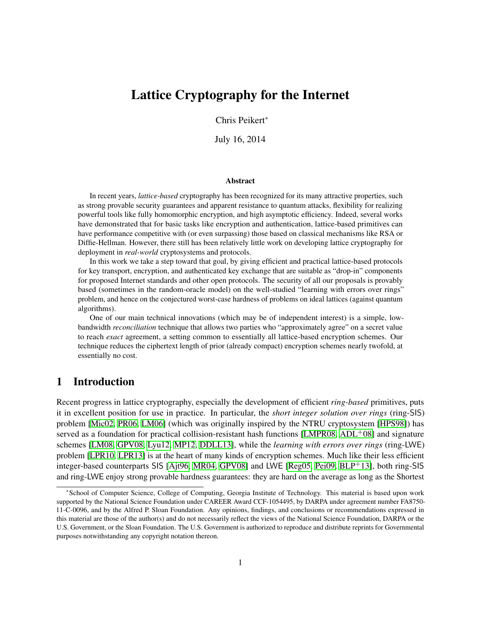# Lattice Cryptography for the Internet

Chris Peikert<sup>∗</sup>

July 16, 2014

#### Abstract

In recent years, *lattice-based* cryptography has been recognized for its many attractive properties, such as strong provable security guarantees and apparent resistance to quantum attacks, flexibility for realizing powerful tools like fully homomorphic encryption, and high asymptotic efficiency. Indeed, several works have demonstrated that for basic tasks like encryption and authentication, lattice-based primitives can have performance competitive with (or even surpassing) those based on classical mechanisms like RSA or Diffie-Hellman. However, there still has been relatively little work on developing lattice cryptography for deployment in *real-world* cryptosystems and protocols.

In this work we take a step toward that goal, by giving efficient and practical lattice-based protocols for key transport, encryption, and authenticated key exchange that are suitable as "drop-in" components for proposed Internet standards and other open protocols. The security of all our proposals is provably based (sometimes in the random-oracle model) on the well-studied "learning with errors over rings" problem, and hence on the conjectured worst-case hardness of problems on ideal lattices (against quantum algorithms).

One of our main technical innovations (which may be of independent interest) is a simple, lowbandwidth *reconciliation* technique that allows two parties who "approximately agree" on a secret value to reach *exact* agreement, a setting common to essentially all lattice-based encryption schemes. Our technique reduces the ciphertext length of prior (already compact) encryption schemes nearly twofold, at essentially no cost.

# 1 Introduction

Recent progress in lattice cryptography, especially the development of efficient *ring-based* primitives, puts it in excellent position for use in practice. In particular, the *short integer solution over rings* (ring-SIS) problem [\[Mic02,](#page-23-0) [PR06,](#page-23-1) [LM06\]](#page-22-0) (which was originally inspired by the NTRU cryptosystem [\[HPS98\]](#page-22-1)) has served as a foundation for practical collision-resistant hash functions [\[LMPR08,](#page-22-2)  $ADL<sup>+</sup>08$  $ADL<sup>+</sup>08$ ] and signature schemes [\[LM08,](#page-22-3) [GPV08,](#page-22-4) [Lyu12,](#page-23-2) [MP12,](#page-23-3) [DDLL13\]](#page-21-0), while the *learning with errors over rings* (ring-LWE) problem [\[LPR10,](#page-23-4) [LPR13\]](#page-23-5) is at the heart of many kinds of encryption schemes. Much like their less efficient integer-based counterparts SIS [\[Ajt96,](#page-20-1) [MR04,](#page-23-6) [GPV08\]](#page-22-4) and LWE [\[Reg05,](#page-23-7) [Pei09,](#page-23-8) [BLP](#page-20-2)+13], both ring-SIS and ring-LWE enjoy strong provable hardness guarantees: they are hard on the average as long as the Shortest

<sup>∗</sup> School of Computer Science, College of Computing, Georgia Institute of Technology. This material is based upon work supported by the National Science Foundation under CAREER Award CCF-1054495, by DARPA under agreement number FA8750- 11-C-0096, and by the Alfred P. Sloan Foundation. Any opinions, findings, and conclusions or recommendations expressed in this material are those of the author(s) and do not necessarily reflect the views of the National Science Foundation, DARPA or the U.S. Government, or the Sloan Foundation. The U.S. Government is authorized to reproduce and distribute reprints for Governmental purposes notwithstanding any copyright notation thereon.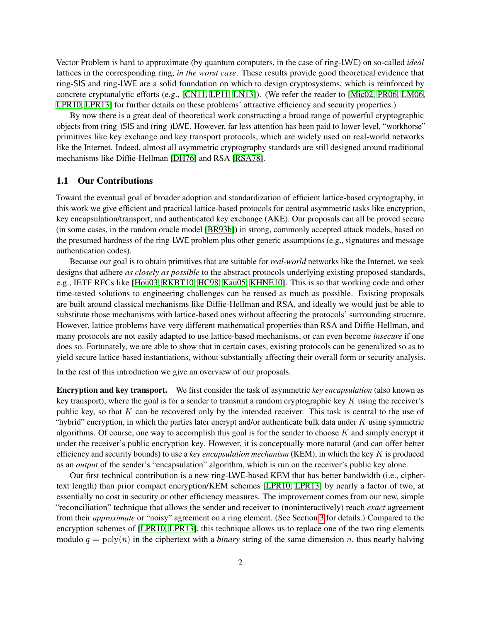Vector Problem is hard to approximate (by quantum computers, in the case of ring-LWE) on so-called *ideal* lattices in the corresponding ring, *in the worst case*. These results provide good theoretical evidence that ring-SIS and ring-LWE are a solid foundation on which to design cryptosystems, which is reinforced by concrete cryptanalytic efforts (e.g., [\[CN11,](#page-21-1) [LP11,](#page-23-9) [LN13\]](#page-22-5)). (We refer the reader to [\[Mic02,](#page-23-0) [PR06,](#page-23-1) [LM06,](#page-22-0) [LPR10,](#page-23-4) [LPR13\]](#page-23-5) for further details on these problems' attractive efficiency and security properties.)

By now there is a great deal of theoretical work constructing a broad range of powerful cryptographic objects from (ring-)SIS and (ring-)LWE. However, far less attention has been paid to lower-level, "workhorse" primitives like key exchange and key transport protocols, which are widely used on real-world networks like the Internet. Indeed, almost all asymmetric cryptography standards are still designed around traditional mechanisms like Diffie-Hellman [\[DH76\]](#page-21-2) and RSA [\[RSA78\]](#page-23-10).

# 1.1 Our Contributions

Toward the eventual goal of broader adoption and standardization of efficient lattice-based cryptography, in this work we give efficient and practical lattice-based protocols for central asymmetric tasks like encryption, key encapsulation/transport, and authenticated key exchange (AKE). Our proposals can all be proved secure (in some cases, in the random oracle model [\[BR93b\]](#page-20-3)) in strong, commonly accepted attack models, based on the presumed hardness of the ring-LWE problem plus other generic assumptions (e.g., signatures and message authentication codes).

Because our goal is to obtain primitives that are suitable for *real-world* networks like the Internet, we seek designs that adhere *as closely as possible* to the abstract protocols underlying existing proposed standards, e.g., IETF RFCs like [\[Hou03,](#page-22-6) [RKBT10,](#page-23-11) [HC98,](#page-22-7) [Kau05,](#page-22-8) [KHNE10\]](#page-22-9). This is so that working code and other time-tested solutions to engineering challenges can be reused as much as possible. Existing proposals are built around classical mechanisms like Diffie-Hellman and RSA, and ideally we would just be able to substitute those mechanisms with lattice-based ones without affecting the protocols' surrounding structure. However, lattice problems have very different mathematical properties than RSA and Diffie-Hellman, and many protocols are not easily adapted to use lattice-based mechanisms, or can even become *insecure* if one does so. Fortunately, we are able to show that in certain cases, existing protocols can be generalized so as to yield secure lattice-based instantiations, without substantially affecting their overall form or security analysis.

In the rest of this introduction we give an overview of our proposals.

Encryption and key transport. We first consider the task of asymmetric *key encapsulation* (also known as key transport), where the goal is for a sender to transmit a random cryptographic key K using the receiver's public key, so that  $K$  can be recovered only by the intended receiver. This task is central to the use of "hybrid" encryption, in which the parties later encrypt and/or authenticate bulk data under  $K$  using symmetric algorithms. Of course, one way to accomplish this goal is for the sender to choose  $K$  and simply encrypt it under the receiver's public encryption key. However, it is conceptually more natural (and can offer better efficiency and security bounds) to use a *key encapsulation mechanism* (KEM), in which the key K is produced as an *output* of the sender's "encapsulation" algorithm, which is run on the receiver's public key alone.

Our first technical contribution is a new ring-LWE-based KEM that has better bandwidth (i.e., ciphertext length) than prior compact encryption/KEM schemes [\[LPR10,](#page-23-4) [LPR13\]](#page-23-5) by nearly a factor of two, at essentially no cost in security or other efficiency measures. The improvement comes from our new, simple "reconciliation" technique that allows the sender and receiver to (noninteractively) reach *exact* agreement from their *approximate* or "noisy" agreement on a ring element. (See Section [3](#page-8-0) for details.) Compared to the encryption schemes of [\[LPR10,](#page-23-4) [LPR13\]](#page-23-5), this technique allows us to replace one of the two ring elements modulo  $q = \text{poly}(n)$  in the ciphertext with a *binary* string of the same dimension n, thus nearly halving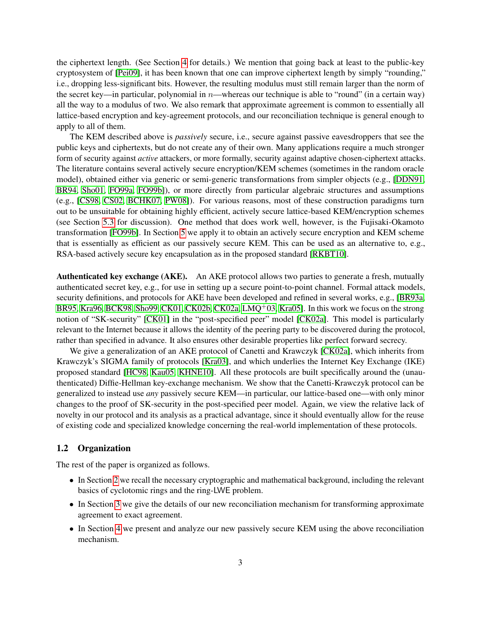the ciphertext length. (See Section [4](#page-10-0) for details.) We mention that going back at least to the public-key cryptosystem of [\[Pei09\]](#page-23-8), it has been known that one can improve ciphertext length by simply "rounding," i.e., dropping less-significant bits. However, the resulting modulus must still remain larger than the norm of the secret key—in particular, polynomial in  $n$ —whereas our technique is able to "round" (in a certain way) all the way to a modulus of two. We also remark that approximate agreement is common to essentially all lattice-based encryption and key-agreement protocols, and our reconciliation technique is general enough to apply to all of them.

The KEM described above is *passively* secure, i.e., secure against passive eavesdroppers that see the public keys and ciphertexts, but do not create any of their own. Many applications require a much stronger form of security against *active* attackers, or more formally, security against adaptive chosen-ciphertext attacks. The literature contains several actively secure encryption/KEM schemes (sometimes in the random oracle model), obtained either via generic or semi-generic transformations from simpler objects (e.g., [\[DDN91,](#page-21-3) [BR94,](#page-20-4) [Sho01,](#page-23-12) [FO99a,](#page-21-4) [FO99b\]](#page-22-10)), or more directly from particular algebraic structures and assumptions (e.g., [\[CS98,](#page-21-5) [CS02,](#page-21-6) [BCHK07,](#page-20-5) [PW08\]](#page-23-13)). For various reasons, most of these construction paradigms turn out to be unsuitable for obtaining highly efficient, actively secure lattice-based KEM/encryption schemes (see Section [5.3](#page-16-0) for discussion). One method that does work well, however, is the Fujisaki-Okamoto transformation [\[FO99b\]](#page-22-10). In Section [5](#page-14-0) we apply it to obtain an actively secure encryption and KEM scheme that is essentially as efficient as our passively secure KEM. This can be used as an alternative to, e.g., RSA-based actively secure key encapsulation as in the proposed standard [\[RKBT10\]](#page-23-11).

Authenticated key exchange (AKE). An AKE protocol allows two parties to generate a fresh, mutually authenticated secret key, e.g., for use in setting up a secure point-to-point channel. Formal attack models, security definitions, and protocols for AKE have been developed and refined in several works, e.g., [\[BR93a,](#page-20-6) [BR95,](#page-20-7) [Kra96,](#page-22-11) [BCK98,](#page-20-8) [Sho99,](#page-23-14) [CK01,](#page-21-7) [CK02b,](#page-21-8) [CK02a,](#page-21-9) [LMQ](#page-22-12)<sup>+</sup>03, [Kra05\]](#page-22-13). In this work we focus on the strong notion of "SK-security" [\[CK01\]](#page-21-7) in the "post-specified peer" model [\[CK02a\]](#page-21-9). This model is particularly relevant to the Internet because it allows the identity of the peering party to be discovered during the protocol, rather than specified in advance. It also ensures other desirable properties like perfect forward secrecy.

We give a generalization of an AKE protocol of Canetti and Krawczyk [\[CK02a\]](#page-21-9), which inherits from Krawczyk's SIGMA family of protocols [\[Kra03\]](#page-22-14), and which underlies the Internet Key Exchange (IKE) proposed standard [\[HC98,](#page-22-7) [Kau05,](#page-22-8) [KHNE10\]](#page-22-9). All these protocols are built specifically around the (unauthenticated) Diffie-Hellman key-exchange mechanism. We show that the Canetti-Krawczyk protocol can be generalized to instead use *any* passively secure KEM—in particular, our lattice-based one—with only minor changes to the proof of SK-security in the post-specified peer model. Again, we view the relative lack of novelty in our protocol and its analysis as a practical advantage, since it should eventually allow for the reuse of existing code and specialized knowledge concerning the real-world implementation of these protocols.

#### 1.2 Organization

The rest of the paper is organized as follows.

- In Section [2](#page-3-0) we recall the necessary cryptographic and mathematical background, including the relevant basics of cyclotomic rings and the ring-LWE problem.
- In Section [3](#page-8-0) we give the details of our new reconciliation mechanism for transforming approximate agreement to exact agreement.
- In Section [4](#page-10-0) we present and analyze our new passively secure KEM using the above reconciliation mechanism.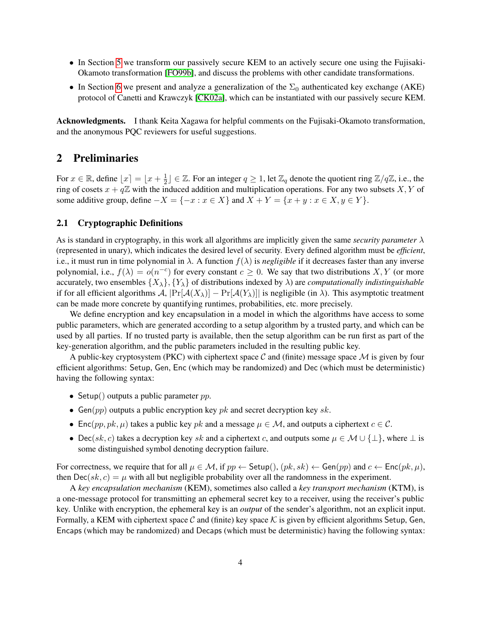- In Section [5](#page-14-0) we transform our passively secure KEM to an actively secure one using the Fujisaki-Okamoto transformation [\[FO99b\]](#page-22-10), and discuss the problems with other candidate transformations.
- In Section [6](#page-16-1) we present and analyze a generalization of the  $\Sigma_0$  authenticated key exchange (AKE) protocol of Canetti and Krawczyk [\[CK02a\]](#page-21-9), which can be instantiated with our passively secure KEM.

Acknowledgments. I thank Keita Xagawa for helpful comments on the Fujisaki-Okamoto transformation, and the anonymous PQC reviewers for useful suggestions.

# <span id="page-3-0"></span>2 Preliminaries

For  $x \in \mathbb{R}$ , define  $\lfloor x \rfloor = \lfloor x + \frac{1}{2} \rfloor$  $\frac{1}{2}$   $\vert \in \mathbb{Z}$ . For an integer  $q \geq 1$ , let  $\mathbb{Z}_q$  denote the quotient ring  $\mathbb{Z}/q\mathbb{Z}$ , i.e., the ring of cosets  $x + q\mathbb{Z}$  with the induced addition and multiplication operations. For any two subsets  $X, Y$  of some additive group, define  $-X = \{-x : x \in X\}$  and  $X + Y = \{x + y : x \in X, y \in Y\}$ .

#### <span id="page-3-1"></span>2.1 Cryptographic Definitions

As is standard in cryptography, in this work all algorithms are implicitly given the same *security parameter* λ (represented in unary), which indicates the desired level of security. Every defined algorithm must be *efficient*, i.e., it must run in time polynomial in  $\lambda$ . A function  $f(\lambda)$  is *negligible* if it decreases faster than any inverse polynomial, i.e.,  $f(\lambda) = o(n^{-c})$  for every constant  $c \ge 0$ . We say that two distributions X, Y (or more accurately, two ensembles  $\{X_{\lambda}\}, \{Y_{\lambda}\}\$  of distributions indexed by  $\lambda$ ) are *computationally indistinguishable* if for all efficient algorithms  $A$ ,  $|\Pr[\mathcal{A}(X_\lambda)] - \Pr[\mathcal{A}(Y_\lambda)]|$  is negligible (in  $\lambda$ ). This asymptotic treatment can be made more concrete by quantifying runtimes, probabilities, etc. more precisely.

We define encryption and key encapsulation in a model in which the algorithms have access to some public parameters, which are generated according to a setup algorithm by a trusted party, and which can be used by all parties. If no trusted party is available, then the setup algorithm can be run first as part of the key-generation algorithm, and the public parameters included in the resulting public key.

A public-key cryptosystem (PKC) with ciphertext space  $\mathcal C$  and (finite) message space  $\mathcal M$  is given by four efficient algorithms: Setup, Gen, Enc (which may be randomized) and Dec (which must be deterministic) having the following syntax:

- Setup() outputs a public parameter  $pp$ .
- Gen(pp) outputs a public encryption key pk and secret decryption key sk.
- Enc(pp, pk,  $\mu$ ) takes a public key pk and a message  $\mu \in M$ , and outputs a ciphertext  $c \in \mathcal{C}$ .
- Dec(sk, c) takes a decryption key sk and a ciphertext c, and outputs some  $\mu \in \mathcal{M} \cup \{\perp\}$ , where  $\perp$  is some distinguished symbol denoting decryption failure.

For correctness, we require that for all  $\mu \in \mathcal{M}$ , if  $pp \leftarrow$  Setup(),  $(pk, sk) \leftarrow$  Gen $(pp)$  and  $c \leftarrow$  Enc $(pk, \mu)$ , then  $\text{Dec}(sk, c) = \mu$  with all but negligible probability over all the randomness in the experiment.

A *key encapsulation mechanism* (KEM), sometimes also called a *key transport mechanism* (KTM), is a one-message protocol for transmitting an ephemeral secret key to a receiver, using the receiver's public key. Unlike with encryption, the ephemeral key is an *output* of the sender's algorithm, not an explicit input. Formally, a KEM with ciphertext space C and (finite) key space K is given by efficient algorithms Setup, Gen, Encaps (which may be randomized) and Decaps (which must be deterministic) having the following syntax: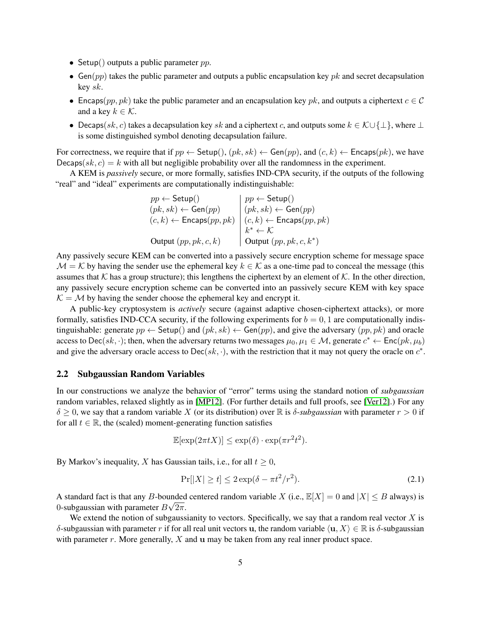- Setup() outputs a public parameter  $pp$ .
- Gen(pp) takes the public parameter and outputs a public encapsulation key pk and secret decapsulation key sk.
- Encaps(pp, pk) take the public parameter and an encapsulation key pk, and outputs a ciphertext  $c \in \mathcal{C}$ and a key  $k \in \mathcal{K}$ .
- Decaps(sk, c) takes a decapsulation key sk and a ciphertext c, and outputs some  $k \in \mathcal{K} \cup \{\perp\}$ , where  $\perp$ is some distinguished symbol denoting decapsulation failure.

For correctness, we require that if  $pp \leftarrow$  Setup(),  $(pk, sk) \leftarrow$  Gen $(pp)$ , and  $(c, k) \leftarrow$  Encaps $(pk)$ , we have Decaps( $sk, c$ ) = k with all but negligible probability over all the randomness in the experiment.

A KEM is *passively* secure, or more formally, satisfies IND-CPA security, if the outputs of the following "real" and "ideal" experiments are computationally indistinguishable:

$$
pp \leftarrow \textsf{Setup}() (pk, sk) \leftarrow \textsf{Gen}(pp) (c, k) \leftarrow \textsf{Encaps}(pp, pk) (ck) \leftarrow \textsf{Encaps}(pp, pk) (c, k) \leftarrow \textsf{Encaps}(pp, pk) k^* \leftarrow \mathcal{K}
$$
  
Output (pp, pk, c, k) Output (pp, pk, c, k\*)

Any passively secure KEM can be converted into a passively secure encryption scheme for message space  $M = K$  by having the sender use the ephemeral key  $k \in K$  as a one-time pad to conceal the message (this assumes that K has a group structure); this lengthens the ciphertext by an element of K. In the other direction, any passively secure encryption scheme can be converted into an passively secure KEM with key space  $K = M$  by having the sender choose the ephemeral key and encrypt it.

A public-key cryptosystem is *actively* secure (against adaptive chosen-ciphertext attacks), or more formally, satisfies IND-CCA security, if the following experiments for  $b = 0, 1$  are computationally indistinguishable: generate  $pp \leftarrow$  Setup() and  $(pk, sk) \leftarrow$  Gen(pp), and give the adversary (pp, pk) and oracle access to Dec(sk,  $\cdot$ ); then, when the adversary returns two messages  $\mu_0, \mu_1 \in \mathcal{M}$ , generate  $c^* \leftarrow \textsf{Enc}(pk, \mu_b)$ and give the adversary oracle access to  $Dec(sk, \cdot)$ , with the restriction that it may not query the oracle on  $c^*$ .

#### 2.2 Subgaussian Random Variables

In our constructions we analyze the behavior of "error" terms using the standard notion of *subgaussian* random variables, relaxed slightly as in [\[MP12\]](#page-23-3). (For further details and full proofs, see [\[Ver12\]](#page-24-0).) For any  $\delta \geq 0$ , we say that a random variable X (or its distribution) over R is  $\delta$ -*subgaussian* with parameter  $r > 0$  if for all  $t \in \mathbb{R}$ , the (scaled) moment-generating function satisfies

$$
\mathbb{E}[\exp(2\pi t X)] \le \exp(\delta) \cdot \exp(\pi r^2 t^2).
$$

By Markov's inequality, X has Gaussian tails, i.e., for all  $t \geq 0$ ,

<span id="page-4-0"></span>
$$
\Pr[|X| \ge t] \le 2 \exp(\delta - \pi t^2 / r^2). \tag{2.1}
$$

A standard fact is that any B-bounded centered random variable X (i.e.,  $\mathbb{E}[X] = 0$  and  $|X| \leq B$  always) is 0-subgaussian with parameter  $B\sqrt{2\pi}$ .

<span id="page-4-1"></span>We extend the notion of subgaussianity to vectors. Specifically, we say that a random real vector  $X$  is δ-subgaussian with parameter r if for all real unit vectors u, the random variable  $\langle u, X \rangle \in \mathbb{R}$  is δ-subgaussian with parameter  $r$ . More generally,  $X$  and  $u$  may be taken from any real inner product space.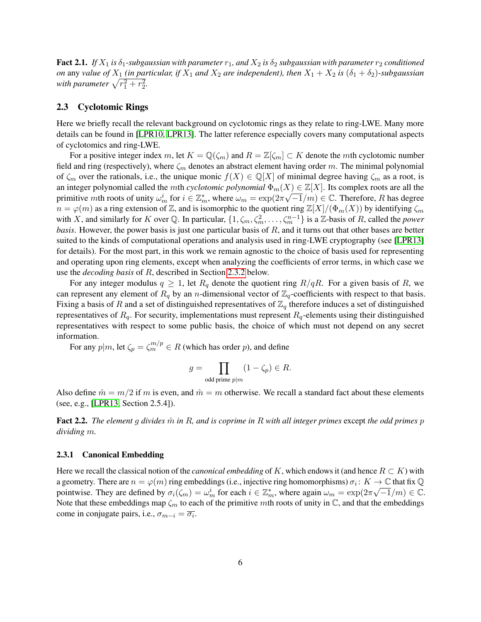**Fact 2.1.** *If*  $X_1$  *is*  $\delta_1$ -subgaussian with parameter  $r_1$ , and  $X_2$  *is*  $\delta_2$  *subgaussian with parameter*  $r_2$  *conditioned on* any *value of*  $X_1$  *(in particular, if*  $X_1$  *and*  $X_2$  *are independent), then*  $X_1 + X_2$  *is*  $(\delta_1 + \delta_2)$ *-subgaussian* with parameter  $\sqrt{r_1^2 + r_2^2}$ .

#### 2.3 Cyclotomic Rings

Here we briefly recall the relevant background on cyclotomic rings as they relate to ring-LWE. Many more details can be found in [\[LPR10,](#page-23-4) [LPR13\]](#page-23-5). The latter reference especially covers many computational aspects of cyclotomics and ring-LWE.

For a positive integer index m, let  $K = \mathbb{Q}(\zeta_m)$  and  $R = \mathbb{Z}[\zeta_m] \subset K$  denote the mth cyclotomic number field and ring (respectively), where  $\zeta_m$  denotes an abstract element having order m. The minimal polynomial of  $\zeta_m$  over the rationals, i.e., the unique monic  $f(X) \in \mathbb{Q}[X]$  of minimal degree having  $\zeta_m$  as a root, is an integer polynomial called the *mth cyclotomic polynomial*  $\Phi_m(X) \in \mathbb{Z}[X]$ . Its complex roots are all the primitive mth roots of unity  $\omega_m^i$  for  $i \in \mathbb{Z}_m^*$ , where  $\omega_m = \exp(2\pi\sqrt{-1}/m) \in \mathbb{C}$ . Therefore, R has degree  $n = \varphi(m)$  as a ring extension of Z, and is isomorphic to the quotient ring  $\mathbb{Z}[X]/(\Phi_m(X))$  by identifying  $\zeta_m$ with X, and similarly for K over Q. In particular,  $\{1, \zeta_m, \zeta_m^2, \dots, \zeta_m^{n-1}\}$  is a Z-basis of R, called the *power basis*. However, the power basis is just one particular basis of R, and it turns out that other bases are better suited to the kinds of computational operations and analysis used in ring-LWE cryptography (see [\[LPR13\]](#page-23-5) for details). For the most part, in this work we remain agnostic to the choice of basis used for representing and operating upon ring elements, except when analyzing the coefficients of error terms, in which case we use the *decoding basis* of R, described in Section [2.3.2](#page-6-0) below.

For any integer modulus  $q \geq 1$ , let  $R_q$  denote the quotient ring  $R/qR$ . For a given basis of R, we can represent any element of  $R_q$  by an *n*-dimensional vector of  $\mathbb{Z}_q$ -coefficients with respect to that basis. Fixing a basis of R and a set of distinguished representatives of  $\mathbb{Z}_q$  therefore induces a set of distinguished representatives of  $R_q$ . For security, implementations must represent  $R_q$ -elements using their distinguished representatives with respect to some public basis, the choice of which must not depend on any secret information.

For any  $p|m$ , let  $\zeta_p = \zeta_m^{m/p} \in R$  (which has order p), and define

$$
g = \prod_{\text{odd prime } p \mid m} (1 - \zeta_p) \in R.
$$

Also define  $\hat{m} = m/2$  if m is even, and  $\hat{m} = m$  otherwise. We recall a standard fact about these elements (see, e.g., [\[LPR13,](#page-23-5) Section 2.5.4]).

<span id="page-5-1"></span>**Fact 2.2.** *The element* g divides  $\hat{m}$  in R, and is coprime in R with all integer primes except the odd primes p *dividing* m*.*

#### <span id="page-5-0"></span>2.3.1 Canonical Embedding

Here we recall the classical notion of the *canonical embedding* of K, which endows it (and hence  $R \subset K$ ) with a geometry. There are  $n = \varphi(m)$  ring embeddings (i.e., injective ring homomorphisms)  $\sigma_i : K \to \mathbb{C}$  that fix  $\mathbb{Q}$ pointwise. They are defined by  $\sigma_i(\zeta_m) = \omega_m^i$  for each  $i \in \mathbb{Z}_m^*$ , where again  $\omega_m = \exp(2\pi\sqrt{-1}/m) \in \mathbb{C}$ . Note that these embeddings map  $\zeta_m$  to each of the primitive mth roots of unity in  $\mathbb{C}$ , and that the embeddings come in conjugate pairs, i.e.,  $\sigma_{m-i} = \overline{\sigma_i}$ .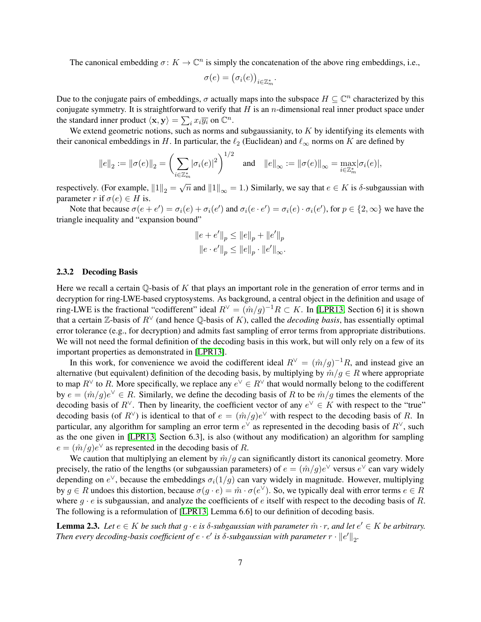The canonical embedding  $\sigma: K \to \mathbb{C}^n$  is simply the concatenation of the above ring embeddings, i.e.,

$$
\sigma(e) = (\sigma_i(e))_{i \in \mathbb{Z}_m^*}.
$$

Due to the conjugate pairs of embeddings,  $\sigma$  actually maps into the subspace  $H \subseteq \mathbb{C}^n$  characterized by this conjugate symmetry. It is straightforward to verify that  $H$  is an n-dimensional real inner product space under the standard inner product  $\langle \mathbf{x}, \mathbf{y} \rangle = \sum_i x_i \overline{y_i}$  on  $\mathbb{C}^n$ .

We extend geometric notions, such as norms and subgaussianity, to  $K$  by identifying its elements with their canonical embeddings in H. In particular, the  $\ell_2$  (Euclidean) and  $\ell_{\infty}$  norms on K are defined by

$$
||e||_2 := ||\sigma(e)||_2 = \left(\sum_{i \in \mathbb{Z}_m^*} |\sigma_i(e)|^2\right)^{1/2}
$$
 and  $||e||_{\infty} := ||\sigma(e)||_{\infty} = \max_{i \in \mathbb{Z}_m^*} |\sigma_i(e)|$ ,

respectively. (For example,  $||1||_2 = \sqrt{n}$  and  $||1||_{\infty} = 1$ .) Similarly, we say that  $e \in K$  is  $\delta$ -subgaussian with parameter r if  $\sigma(e) \in H$  is.

Note that because  $\sigma(e+e') = \sigma_i(e) + \sigma_i(e')$  and  $\sigma_i(e \cdot e') = \sigma_i(e) \cdot \sigma_i(e')$ , for  $p \in \{2, \infty\}$  we have the triangle inequality and "expansion bound"

$$
||e + e'||_p \le ||e||_p + ||e'||_p
$$
  

$$
||e \cdot e'||_p \le ||e||_p \cdot ||e'||_{\infty}.
$$

#### <span id="page-6-0"></span>2.3.2 Decoding Basis

Here we recall a certain  $\mathbb{Q}$ -basis of K that plays an important role in the generation of error terms and in decryption for ring-LWE-based cryptosystems. As background, a central object in the definition and usage of ring-LWE is the fractional "codifferent" ideal  $R^{\vee} = (\hat{m}/g)^{-1}R \subset K$ . In [\[LPR13,](#page-23-5) Section 6] it is shown that a certain  $\mathbb{Z}$ -basis of  $R^\vee$  (and hence  $\mathbb{Q}$ -basis of K), called the *decoding basis*, has essentially optimal error tolerance (e.g., for decryption) and admits fast sampling of error terms from appropriate distributions. We will not need the formal definition of the decoding basis in this work, but will only rely on a few of its important properties as demonstrated in [\[LPR13\]](#page-23-5).

In this work, for convenience we avoid the codifferent ideal  $R^{\vee} = (\hat{m}/g)^{-1}R$ , and instead give an alternative (but equivalent) definition of the decoding basis, by multiplying by  $\hat{m}/g \in R$  where appropriate to map  $R^{\vee}$  to R. More specifically, we replace any  $e^{\vee} \in R^{\vee}$  that would normally belong to the codifferent by  $e = (\hat{m}/g)e^{\vee} \in R$ . Similarly, we define the decoding basis of R to be  $\hat{m}/g$  times the elements of the decoding basis of  $R^{\vee}$ . Then by linearity, the coefficient vector of any  $e^{\vee} \in K$  with respect to the "true" decoding basis (of  $R^{\vee}$ ) is identical to that of  $e = (\hat{m}/g)e^{\vee}$  with respect to the decoding basis of R. In particular, any algorithm for sampling an error term  $e^{\vee}$  as represented in the decoding basis of  $R^{\vee}$ , such as the one given in [\[LPR13,](#page-23-5) Section 6.3], is also (without any modification) an algorithm for sampling  $e = (\hat{m}/g)e^{\vee}$  as represented in the decoding basis of R.

We caution that multiplying an element by  $\hat{m}/q$  can significantly distort its canonical geometry. More precisely, the ratio of the lengths (or subgaussian parameters) of  $e = (\hat{m}/g)e^{\vee}$  versus  $e^{\vee}$  can vary widely depending on  $e^{\vee}$ , because the embeddings  $\sigma_i(1/g)$  can vary widely in magnitude. However, multiplying by  $g \in R$  undoes this distortion, because  $\sigma(g \cdot e) = \hat{m} \cdot \sigma(e^{\vee})$ . So, we typically deal with error terms  $e \in R$ where  $q \cdot e$  is subgaussian, and analyze the coefficients of e itself with respect to the decoding basis of R. The following is a reformulation of [\[LPR13,](#page-23-5) Lemma 6.6] to our definition of decoding basis.

<span id="page-6-1"></span>**Lemma 2.3.** Let  $e \in K$  be such that  $g \cdot e$  is  $\delta$ -subgaussian with parameter  $\hat{m} \cdot r$ , and let  $e' \in K$  be arbitrary. Then every decoding-basis coefficient of  $e\cdot e'$  is  $\delta$ -subgaussian with parameter  $r\cdot \|e'\|_2.$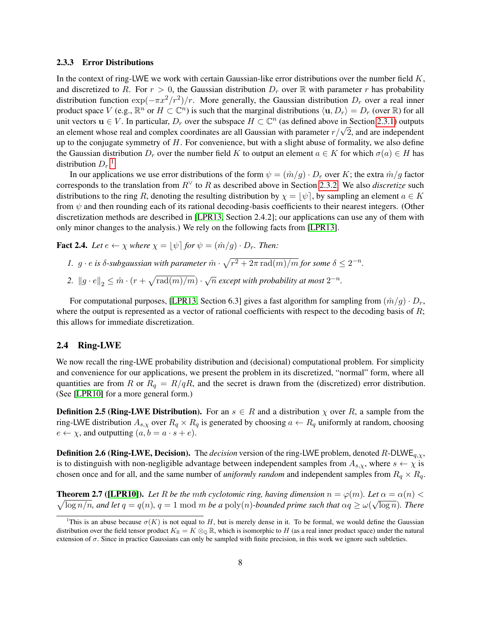#### <span id="page-7-2"></span>2.3.3 Error Distributions

In the context of ring-LWE we work with certain Gaussian-like error distributions over the number field  $K$ , and discretized to R. For  $r > 0$ , the Gaussian distribution  $D_r$  over R with parameter r has probability distribution function  $\exp(-\pi x^2/r^2)/r$ . More generally, the Gaussian distribution  $D_r$  over a real inner product space V (e.g.,  $\mathbb{R}^n$  or  $H \subset \mathbb{C}^n$ ) is such that the marginal distributions  $\langle \mathbf{u}, D_r \rangle = D_r$  (over  $\mathbb{R}$ ) for all unit vectors  $u \in V$ . In particular,  $D_r$  over the subspace  $H \subset \mathbb{C}^n$  (as defined above in Section [2.3.1\)](#page-5-0) outputs and vectors  $\mathbf{u} \in V$ . In particular,  $D_r$  over the subspace  $H \subset \mathbb{C}^n$  (as defined above in Section 2.5.1) outputs an element whose real and complex coordinates are all Gaussian with parameter  $r/\sqrt{2}$ , and are inde up to the conjugate symmetry of  $H$ . For convenience, but with a slight abuse of formality, we also define the Gaussian distribution  $D_r$  over the number field K to output an element  $a \in K$  for which  $\sigma(a) \in H$  has distribution  $D_r$ .<sup>[1](#page-7-0)</sup>

In our applications we use error distributions of the form  $\psi = (\hat{m}/g) \cdot D_r$  over K; the extra  $\hat{m}/g$  factor corresponds to the translation from  $R<sup>∨</sup>$  to R as described above in Section [2.3.2.](#page-6-0) We also *discretize* such distributions to the ring R, denoting the resulting distribution by  $\chi = [\psi]$ , by sampling an element  $a \in K$ from  $\psi$  and then rounding each of its rational decoding-basis coefficients to their nearest integers. (Other discretization methods are described in [\[LPR13,](#page-23-5) Section 2.4.2]; our applications can use any of them with only minor changes to the analysis.) We rely on the following facts from [\[LPR13\]](#page-23-5).

<span id="page-7-4"></span>**Fact 2.4.** Let  $e \leftarrow \chi$  where  $\chi = |\psi|$  for  $\psi = (\hat{m}/q) \cdot D_r$ . Then:

- <span id="page-7-3"></span>*1.*  $g \cdot e$  is  $\delta$ -subgaussian with parameter  $\hat{m} \cdot \sqrt{r^2 + 2\pi \text{ rad}(m) / m}$  for some  $\delta \leq 2^{-n}$ .
- <span id="page-7-5"></span>2.  $||g \cdot e||_2 \leq \hat{m} \cdot (r + \sqrt{\text{rad}(m)/m}) \cdot \sqrt{n}$  *except with probability at most*  $2^{-n}$ *.*

For computational purposes, [\[LPR13,](#page-23-5) Section 6.3] gives a fast algorithm for sampling from  $(\hat{m}/g) \cdot D_r$ , where the output is represented as a vector of rational coefficients with respect to the decoding basis of  $R$ ; this allows for immediate discretization.

### 2.4 Ring-LWE

We now recall the ring-LWE probability distribution and (decisional) computational problem. For simplicity and convenience for our applications, we present the problem in its discretized, "normal" form, where all quantities are from R or  $R_q = R/qR$ , and the secret is drawn from the (discretized) error distribution. (See [\[LPR10\]](#page-23-4) for a more general form.)

**Definition 2.5 (Ring-LWE Distribution).** For an  $s \in R$  and a distribution  $\chi$  over R, a sample from the ring-LWE distribution  $A_{s,x}$  over  $R_q \times R_q$  is generated by choosing  $a \leftarrow R_q$  uniformly at random, choosing  $e \leftarrow \chi$ , and outputting  $(a, b = a \cdot s + e)$ .

**Definition 2.6 (Ring-LWE, Decision).** The *decision* version of the ring-LWE problem, denoted  $R$ -DLWE<sub>q, $\chi$ </sub>, is to distinguish with non-negligible advantage between independent samples from  $A_{s,\chi}$ , where  $s \leftarrow \chi$  is chosen once and for all, and the same number of *uniformly random* and independent samples from  $R_q \times R_q$ .

<span id="page-7-1"></span> $\sqrt{\log n/n}$ , and let  $q = q(n)$ ,  $q = 1 \mod m$  be a  $\text{poly}(n)$ -bounded prime such that  $\alpha q \ge \omega(\sqrt{\log n})$ . There **Theorem 2.7** (**[\[LPR10\]](#page-23-4)**). Let R be the mth cyclotomic ring, having dimension  $n = \varphi(m)$ . Let  $\alpha = \alpha(n) < \alpha$ 

<span id="page-7-0"></span><sup>&</sup>lt;sup>1</sup>This is an abuse because  $\sigma(K)$  is not equal to H, but is merely dense in it. To be formal, we would define the Gaussian distribution over the field tensor product  $K_{\mathbb{R}} = K \otimes_{\mathbb{Q}} \mathbb{R}$ , which is isomorphic to H (as a real inner product space) under the natural extension of  $\sigma$ . Since in practice Gaussians can only be sampled with finite precision, in this work we ignore such subtleties.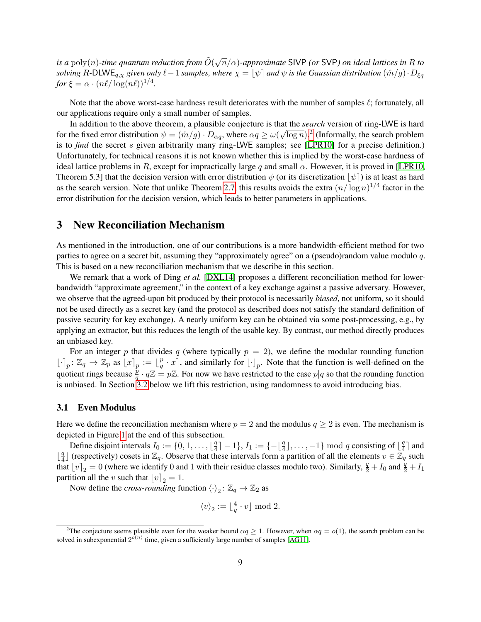is a  $\operatorname{poly}(n)$ -time quantum reduction from  $\tilde{O}(\sqrt{n}/\alpha)$ -approximate SIVP (or SVP) on ideal lattices in  $R$  to *solving* R-DLWE<sub>q, $\chi$ </sub> *given only*  $\ell-1$  *samples, where*  $\chi = [\psi]$  *and*  $\psi$  *is the Gaussian distribution*  $(\hat{m}/g) \cdot D_{\xi q}$ *for*  $\xi = \alpha \cdot (n\ell / \log(n\ell))^{1/4}$ .

Note that the above worst-case hardness result deteriorates with the number of samples  $\ell$ ; fortunately, all our applications require only a small number of samples.

In addition to the above theorem, a plausible conjecture is that the *search* version of ring-LWE is hard √ for the fixed error distribution  $\psi = (\hat{m}/g) \cdot D_{\alpha q}$ , where  $\alpha q \ge \omega(\sqrt{\log n})$ .<sup>[2](#page-8-1)</sup> (Informally, the search problem is to *find* the secret s given arbitrarily many ring-LWE samples; see [\[LPR10\]](#page-23-4) for a precise definition.) Unfortunately, for technical reasons it is not known whether this is implied by the worst-case hardness of ideal lattice problems in R, except for impractically large q and small  $\alpha$ . However, it is proved in [\[LPR10,](#page-23-4) Theorem 5.3] that the decision version with error distribution  $\psi$  (or its discretization  $|\psi|$ ) is at least as hard as the search version. Note that unlike Theorem [2.7,](#page-7-1) this results avoids the extra  $(n/\log n)^{1/4}$  factor in the error distribution for the decision version, which leads to better parameters in applications.

# <span id="page-8-0"></span>3 New Reconciliation Mechanism

As mentioned in the introduction, one of our contributions is a more bandwidth-efficient method for two parties to agree on a secret bit, assuming they "approximately agree" on a (pseudo)random value modulo q. This is based on a new reconciliation mechanism that we describe in this section.

We remark that a work of Ding *et al.* [\[DXL14\]](#page-21-10) proposes a different reconciliation method for lowerbandwidth "approximate agreement," in the context of a key exchange against a passive adversary. However, we observe that the agreed-upon bit produced by their protocol is necessarily *biased*, not uniform, so it should not be used directly as a secret key (and the protocol as described does not satisfy the standard definition of passive security for key exchange). A nearly uniform key can be obtained via some post-processing, e.g., by applying an extractor, but this reduces the length of the usable key. By contrast, our method directly produces an unbiased key.

For an integer p that divides q (where typically  $p = 2$ ), we define the modular rounding function  $\lfloor \cdot \rceil_p : \mathbb{Z}_q \to \mathbb{Z}_p$  as  $\lfloor x \rceil_p := \lfloor \frac{p}{q} \rfloor$  $\frac{p}{q} \cdot x$ , and similarly for  $\lfloor \cdot \rfloor_p$ . Note that the function is well-defined on the quotient rings because  $\frac{p}{q} \cdot q\mathbb{Z} = p\mathbb{Z}$ . For now we have restricted to the case  $p|q$  so that the rounding function is unbiased. In Section [3.2](#page-9-0) below we lift this restriction, using randomness to avoid introducing bias.

# <span id="page-8-2"></span>3.1 Even Modulus

Here we define the reconciliation mechanism where  $p = 2$  and the modulus  $q \ge 2$  is even. The mechanism is depicted in Figure [1](#page-9-1) at the end of this subsection.

Define disjoint intervals  $I_0 := \{0, 1, \ldots, \lfloor \frac{q}{4} \rfloor \}$  $\lfloor \frac{q}{4} \rceil - 1$ ,  $I_1 := \{-\lfloor \frac{q}{4} \rfloor, \ldots, -1\}$  mod q consisting of  $\lfloor \frac{q}{4} \rfloor$  $\frac{q}{4}$ ] and  $\frac{q}{4}$  $\frac{q}{4}$  (respectively) cosets in  $\mathbb{Z}_q$ . Observe that these intervals form a partition of all the elements  $v \in \mathbb{Z}_q$  such that  $\lfloor v \rfloor_2 = 0$  (where we identify 0 and 1 with their residue classes modulo two). Similarly,  $\frac{q}{2} + I_0$  and  $\frac{q}{2} + I_1$ partition all the v such that  $|v|_2 = 1$ .

Now define the *cross-rounding* function  $\langle \cdot \rangle_2$ :  $\mathbb{Z}_q \to \mathbb{Z}_2$  as

$$
\langle v \rangle_2 := \lfloor \frac{4}{q} \cdot v \rfloor \bmod 2.
$$

<span id="page-8-1"></span><sup>&</sup>lt;sup>2</sup>The conjecture seems plausible even for the weaker bound  $\alpha q \ge 1$ . However, when  $\alpha q = o(1)$ , the search problem can be solved in subexponential  $2^{o(n)}$  time, given a sufficiently large number of samples [\[AG11\]](#page-20-9).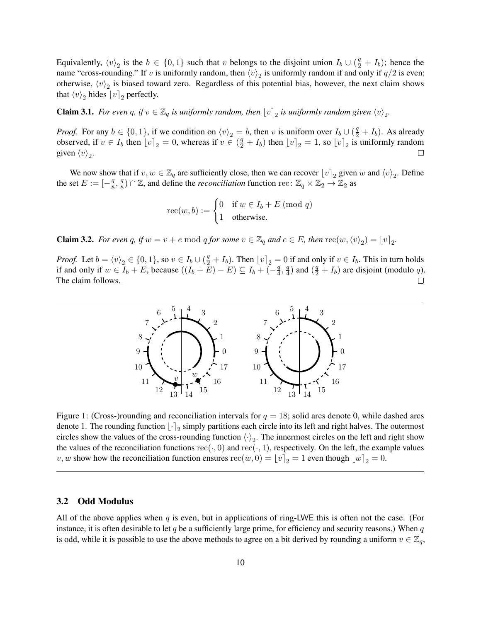Equivalently,  $\langle v \rangle_2$  is the  $b \in \{0, 1\}$  such that v belongs to the disjoint union  $I_b \cup (\frac{q}{2} + I_b)$ ; hence the name "cross-rounding." If v is uniformly random, then  $\langle v \rangle_2$  is uniformly random if and only if  $q/2$  is even; otherwise,  $\langle v \rangle_2$  is biased toward zero. Regardless of this potential bias, however, the next claim shows that  $\langle v \rangle_2$  hides  $\lfloor v \rceil_2$  perfectly.

<span id="page-9-2"></span>**Claim 3.1.** For even q, if  $v \in \mathbb{Z}_q$  is uniformly random, then  $\lfloor v \rfloor_2$  is uniformly random given  $\langle v \rangle_2$ .

*Proof.* For any  $b \in \{0, 1\}$ , if we condition on  $\langle v \rangle_2 = b$ , then v is uniform over  $I_b \cup (\frac{q}{2} + I_b)$ . As already observed, if  $v \in I_b$  then  $[v]_2 = 0$ , whereas if  $v \in (\frac{q}{2} + I_b)$  then  $[v]_2 = 1$ , so  $[v]_2$  is uniformly random given  $\langle v \rangle_2$ .  $\Box$ 

We now show that if  $v, w \in \mathbb{Z}_q$  are sufficiently close, then we can recover  $\lfloor v \rceil_2$  given w and  $\langle v \rangle_2$ . Define the set  $E := \left[-\frac{q}{8}\right]$  $\frac{q}{8}, \frac{q}{8}$  $\frac{q}{8}$ ) ∩  $\mathbb{Z}$ , and define the *reconciliation* function rec:  $\mathbb{Z}_q \times \mathbb{Z}_2 \to \mathbb{Z}_2$  as

$$
\operatorname{rec}(w, b) := \begin{cases} 0 & \text{if } w \in I_b + E \pmod{q} \\ 1 & \text{otherwise.} \end{cases}
$$

<span id="page-9-3"></span>**Claim 3.2.** For even q, if  $w = v + e \text{ mod } q$  for some  $v \in \mathbb{Z}_q$  and  $e \in E$ , then  $\text{rec}(w, \langle v \rangle_2) = [v]_2$ .

*Proof.* Let  $b = \langle v \rangle_2 \in \{0, 1\}$ , so  $v \in I_b \cup (\frac{q}{2} + I_b)$ . Then  $\lfloor v \rfloor_2 = 0$  if and only if  $v \in I_b$ . This in turn holds if and only if  $w \in I_b + E$ , because  $((I_b + E) - E) \subseteq I_b + (-\frac{q}{4})$  $\frac{q}{4}, \frac{q}{4}$  $\frac{q}{4}$ ) and  $(\frac{q}{2} + I_b)$  are disjoint (modulo q). The claim follows.  $\Box$ 



<span id="page-9-1"></span>Figure 1: (Cross-)rounding and reconciliation intervals for  $q = 18$ ; solid arcs denote 0, while dashed arcs denote 1. The rounding function  $\lfloor \cdot \rfloor_2$  simply partitions each circle into its left and right halves. The outermost circles show the values of the cross-rounding function  $\langle \cdot \rangle_2$ . The innermost circles on the left and right show the values of the reconciliation functions  $rec(\cdot, 0)$  and  $rec(\cdot, 1)$ , respectively. On the left, the example values v, w show how the reconciliation function ensures  $\operatorname{rec}(w, 0) = [v]_2 = 1$  even though  $[w]_2 = 0$ .

### <span id="page-9-0"></span>3.2 Odd Modulus

All of the above applies when  $q$  is even, but in applications of ring-LWE this is often not the case. (For instance, it is often desirable to let q be a sufficiently large prime, for efficiency and security reasons.) When  $q$ is odd, while it is possible to use the above methods to agree on a bit derived by rounding a uniform  $v \in \mathbb{Z}_q$ ,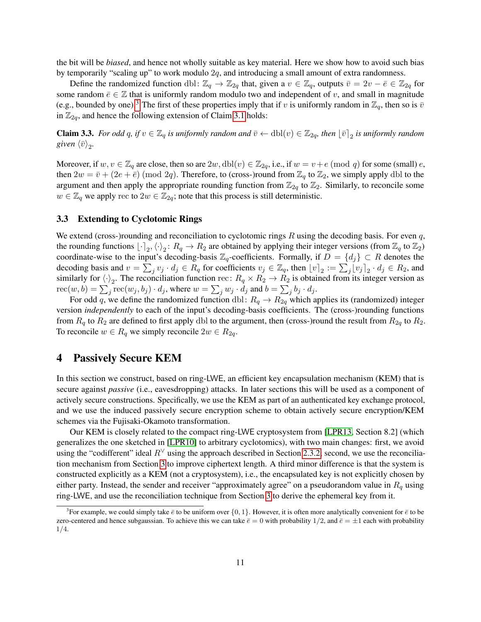the bit will be *biased*, and hence not wholly suitable as key material. Here we show how to avoid such bias by temporarily "scaling up" to work modulo  $2q$ , and introducing a small amount of extra randomness.

Define the randomized function dbl:  $\mathbb{Z}_q \to \mathbb{Z}_{2q}$  that, given a  $v \in \mathbb{Z}_q$ , outputs  $\bar{v} = 2v - \bar{e} \in \mathbb{Z}_{2q}$  for some random  $\bar{e} \in \mathbb{Z}$  that is uniformly random modulo two and independent of v, and small in magnitude (e.g., bounded by one).<sup>[3](#page-10-1)</sup> The first of these properties imply that if v is uniformly random in  $\mathbb{Z}_q$ , then so is  $\bar{v}$ in  $\mathbb{Z}_{2q}$ , and hence the following extension of Claim [3.1](#page-9-2) holds:

<span id="page-10-3"></span>**Claim 3.3.** For odd q, if  $v \in \mathbb{Z}_q$  is uniformly random and  $\bar{v} \leftarrow \text{dbl}(v) \in \mathbb{Z}_{2q}$ , then  $\lfloor \bar{v} \rceil_2$  is uniformly random given  $\langle \bar{v} \rangle_2$ .

Moreover, if  $w, v \in \mathbb{Z}_q$  are close, then so are  $2w, \text{dbl}(v) \in \mathbb{Z}_{2q}$ , i.e., if  $w = v + e \pmod{q}$  for some (small) e, then  $2w = \bar{v} + (2e + \bar{e}) \pmod{2q}$ . Therefore, to (cross-)round from  $\mathbb{Z}_q$  to  $\mathbb{Z}_2$ , we simply apply dbl to the argument and then apply the appropriate rounding function from  $\mathbb{Z}_{2q}$  to  $\mathbb{Z}_2$ . Similarly, to reconcile some  $w \in \mathbb{Z}_q$  we apply rec to  $2w \in \mathbb{Z}_{2q}$ ; note that this process is still deterministic.

#### <span id="page-10-2"></span>3.3 Extending to Cyclotomic Rings

We extend (cross-)rounding and reconciliation to cyclotomic rings R using the decoding basis. For even q, the rounding functions  $\lfloor \cdot \rceil_2, \langle \cdot \rangle_2$ :  $R_q \to R_2$  are obtained by applying their integer versions (from  $\mathbb{Z}_q$  to  $\mathbb{Z}_2$ ) coordinate-wise to the input's decoding-basis  $\mathbb{Z}_q$ -coefficients. Formally, if  $D = \{d_j\} \subset R$  denotes the decoding basis and  $v = \sum_j v_j \cdot d_j \in R_q$  for coefficients  $v_j \in \mathbb{Z}_q$ , then  $[v]_2 := \sum_j [v_j]_2 \cdot d_j \in R_2$ , and similarly for  $\langle \cdot \rangle_2$ . The reconciliation function rec:  $R_q \times R_2 \to R_2$  is obtained from its integer version as  $\text{rec}(w, b) = \sum_j \text{rec}(w_j, b_j) \cdot d_j$ , where  $w = \sum_j w_j \cdot d_j$  and  $b = \sum_j b_j \cdot d_j$ .

For odd q, we define the randomized function dbl:  $R_q \rightarrow R_{2q}$  which applies its (randomized) integer version *independently* to each of the input's decoding-basis coefficients. The (cross-)rounding functions from  $R_q$  to  $R_2$  are defined to first apply dbl to the argument, then (cross-)round the result from  $R_{2q}$  to  $R_2$ . To reconcile  $w \in R_q$  we simply reconcile  $2w \in R_{2q}$ .

# <span id="page-10-0"></span>4 Passively Secure KEM

In this section we construct, based on ring-LWE, an efficient key encapsulation mechanism (KEM) that is secure against *passive* (i.e., eavesdropping) attacks. In later sections this will be used as a component of actively secure constructions. Specifically, we use the KEM as part of an authenticated key exchange protocol, and we use the induced passively secure encryption scheme to obtain actively secure encryption/KEM schemes via the Fujisaki-Okamoto transformation.

Our KEM is closely related to the compact ring-LWE cryptosystem from [\[LPR13,](#page-23-5) Section 8.2] (which generalizes the one sketched in [\[LPR10\]](#page-23-4) to arbitrary cyclotomics), with two main changes: first, we avoid using the "codifferent" ideal  $R^{\vee}$  using the approach described in Section [2.3.2;](#page-6-0) second, we use the reconciliation mechanism from Section [3](#page-8-0) to improve ciphertext length. A third minor difference is that the system is constructed explicitly as a KEM (not a cryptosystem), i.e., the encapsulated key is not explicitly chosen by either party. Instead, the sender and receiver "approximately agree" on a pseudorandom value in  $R<sub>q</sub>$  using ring-LWE, and use the reconciliation technique from Section [3](#page-8-0) to derive the ephemeral key from it.

<span id="page-10-1"></span><sup>&</sup>lt;sup>3</sup>For example, we could simply take  $\bar{e}$  to be uniform over  $\{0, 1\}$ . However, it is often more analytically convenient for  $\bar{e}$  to be zero-centered and hence subgaussian. To achieve this we can take  $\bar{e} = 0$  with probability  $1/2$ , and  $\bar{e} = \pm 1$  each with probability 1/4.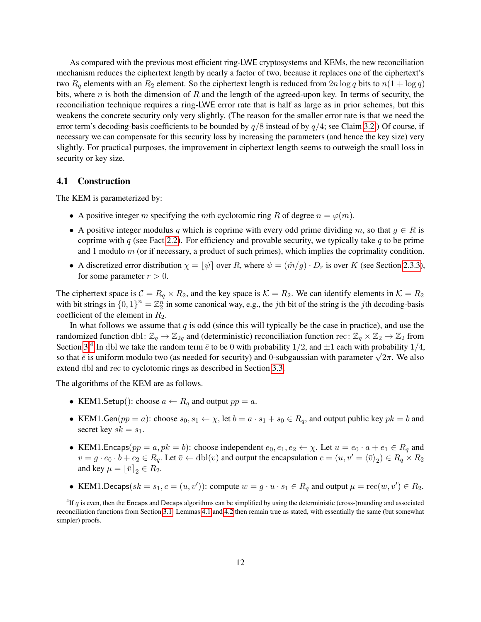As compared with the previous most efficient ring-LWE cryptosystems and KEMs, the new reconciliation mechanism reduces the ciphertext length by nearly a factor of two, because it replaces one of the ciphertext's two  $R_q$  elements with an  $R_2$  element. So the ciphertext length is reduced from  $2n \log q$  bits to  $n(1 + \log q)$ bits, where  $n$  is both the dimension of  $R$  and the length of the agreed-upon key. In terms of security, the reconciliation technique requires a ring-LWE error rate that is half as large as in prior schemes, but this weakens the concrete security only very slightly. (The reason for the smaller error rate is that we need the error term's decoding-basis coefficients to be bounded by  $q/8$  instead of by  $q/4$ ; see Claim [3.2.](#page-9-3)) Of course, if necessary we can compensate for this security loss by increasing the parameters (and hence the key size) very slightly. For practical purposes, the improvement in ciphertext length seems to outweigh the small loss in security or key size.

#### 4.1 Construction

The KEM is parameterized by:

- A positive integer m specifying the mth cyclotomic ring R of degree  $n = \varphi(m)$ .
- A positive integer modulus q which is coprime with every odd prime dividing m, so that  $q \in R$  is coprime with q (see Fact [2.2\)](#page-5-1). For efficiency and provable security, we typically take q to be prime and 1 modulo  $m$  (or if necessary, a product of such primes), which implies the coprimality condition.
- A discretized error distribution  $\chi = |\psi|$  over R, where  $\psi = (\hat{m}/g) \cdot D_r$  is over K (see Section [2.3.3\)](#page-7-2), for some parameter  $r > 0$ .

The ciphertext space is  $C = R_q \times R_2$ , and the key space is  $K = R_2$ . We can identify elements in  $K = R_2$ with bit strings in  $\{0,1\}^n = \mathbb{Z}_2^n$  in some canonical way, e.g., the *j*th bit of the string is the *j*th decoding-basis coefficient of the element in  $R_2$ .

In what follows we assume that  $q$  is odd (since this will typically be the case in practice), and use the randomized function dbl:  $\mathbb{Z}_q \to \mathbb{Z}_{2q}$  and (deterministic) reconciliation function rec:  $\mathbb{Z}_q \times \mathbb{Z}_2 \to \mathbb{Z}_2$  from Section [3.](#page-8-0)<sup>[4](#page-11-0)</sup> In dbl we take the random term  $\bar{e}$  to be 0 with probability 1/2, and  $\pm 1$  each with probability 1/4, section 5. In different taxe the random term e to be 0 with probability  $1/2$ , and  $\pm 1$  each with probability  $1/4$ .<br>So that  $\bar{e}$  is uniform modulo two (as needed for security) and 0-subgaussian with parameter  $\sqrt{2\$ extend dbl and rec to cyclotomic rings as described in Section [3.3.](#page-10-2)

The algorithms of the KEM are as follows.

- KEM1.Setup(): choose  $a \leftarrow R_q$  and output  $pp = a$ .
- KEM1.Gen( $pp = a$ ): choose  $s_0, s_1 \leftarrow \chi$ , let  $b = a \cdot s_1 + s_0 \in R_q$ , and output public key  $pk = b$  and secret key  $sk = s_1$ .
- KEM1.Encaps $(pp = a, pk = b)$ : choose independent  $e_0, e_1, e_2 \leftarrow \chi$ . Let  $u = e_0 \cdot a + e_1 \in R_q$  and  $v = g \cdot e_0 \cdot b + e_2 \in R_q$ . Let  $\overline{v} \leftarrow \text{dbl}(v)$  and output the encapsulation  $c = (u, v' = \langle \overline{v} \rangle_2) \in R_q \times R_2$ and key  $\mu = |\bar{v}|_2 \in R_2$ .
- KEM1.Decaps $(sk = s_1, c = (u, v'))$ : compute  $w = g \cdot u \cdot s_1 \in R_q$  and output  $\mu = \text{rec}(w, v') \in R_2$ .

<span id="page-11-0"></span> ${}^{4}$ If q is even, then the Encaps and Decaps algorithms can be simplified by using the deterministic (cross-)rounding and associated reconciliation functions from Section [3.1.](#page-8-2) Lemmas [4.1](#page-12-0) and [4.2](#page-12-1) then remain true as stated, with essentially the same (but somewhat simpler) proofs.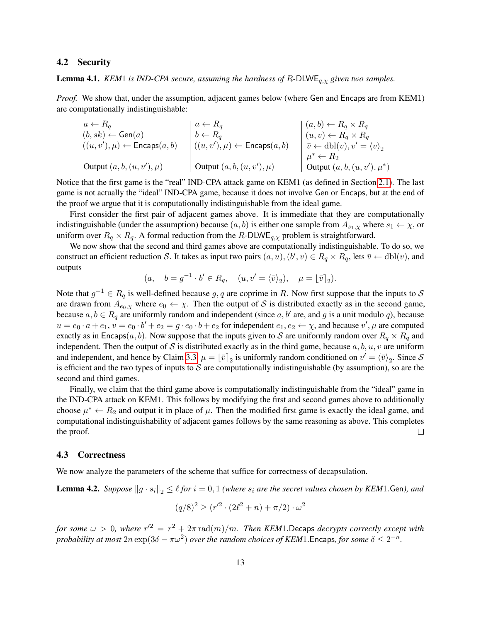### 4.2 Security

<span id="page-12-0"></span>Lemma 4.1. *KEM*1 *is IND-CPA secure, assuming the hardness of* R*-*DLWEq,χ *given two samples.*

*Proof.* We show that, under the assumption, adjacent games below (where Gen and Encaps are from KEM1) are computationally indistinguishable:

$$
\begin{array}{ll} a \leftarrow R_q\\ (b,sk) \leftarrow \mathsf{Gen}(a)\\ ((u,v'),\mu) \leftarrow \mathsf{Encaps}(a,b)\\ \mathsf{Output}\ (a,b,(u,v'),\mu)\end{array} \quad \left| \begin{array}{ll} a \leftarrow R_q\\ b \leftarrow R_q\\ ((u,v'),\mu) \leftarrow \mathsf{Encaps}(a,b)\\ ((u,v'),\mu) \leftarrow \mathsf{Encaps}(a,b) \end{array} \right.\right| \quad \left| \begin{array}{ll} (a,b) \leftarrow R_q \times R_q\\ (u,v) \leftarrow R_q \times R_q\\ (u,v) \leftarrow R_q \times R_q\\ \bar{v} \leftarrow \mathsf{dbl}(v), v' = \langle v \rangle_2\\ \mu^* \leftarrow R_2\\ \mathsf{Output}\ (a,b,(u,v'),\mu^*) \end{array} \right. \right. \right|
$$

Notice that the first game is the "real" IND-CPA attack game on KEM1 (as defined in Section [2.1\)](#page-3-1). The last game is not actually the "ideal" IND-CPA game, because it does not involve Gen or Encaps, but at the end of the proof we argue that it is computationally indistinguishable from the ideal game.

First consider the first pair of adjacent games above. It is immediate that they are computationally indistinguishable (under the assumption) because  $(a, b)$  is either one sample from  $A_{s_1, \chi}$  where  $s_1 \leftarrow \chi$ , or uniform over  $R_q \times R_q$ . A formal reduction from the R-DLWE<sub>q, $\chi$ </sub> problem is straightforward.

We now show that the second and third games above are computationally indistinguishable. To do so, we construct an efficient reduction S. It takes as input two pairs  $(a, u), (b', v) \in R_q \times R_q$ , lets  $\overline{v} \leftarrow \text{dbl}(v)$ , and outputs

$$
(a, \quad b = g^{-1} \cdot b' \in R_q, \quad (u, v' = \langle \bar{v} \rangle_2), \quad \mu = \lfloor \bar{v} \rceil_2).
$$

Note that  $g^{-1} \in R_q$  is well-defined because  $g, q$  are coprime in R. Now first suppose that the inputs to S are drawn from  $A_{e_0,\chi}$  where  $e_0 \leftarrow \chi$ . Then the output of S is distributed exactly as in the second game, because  $a, b \in R_q$  are uniformly random and independent (since  $a, b'$  are, and g is a unit modulo q), because  $u = e_0 \cdot a + e_1$ ,  $v = e_0 \cdot b' + e_2 = g \cdot e_0 \cdot b + e_2$  for independent  $e_1, e_2 \leftarrow \chi$ , and because  $v', \mu$  are computed exactly as in Encaps(a, b). Now suppose that the inputs given to S are uniformly random over  $R_q \times R_q$  and independent. Then the output of S is distributed exactly as in the third game, because  $a, b, u, v$  are uniform and independent, and hence by Claim [3.3,](#page-10-3)  $\mu = [\bar{v}]_2$  is uniformly random conditioned on  $v' = \langle \bar{v} \rangle_2$ . Since S is efficient and the two types of inputs to  $S$  are computationally indistinguishable (by assumption), so are the second and third games.

Finally, we claim that the third game above is computationally indistinguishable from the "ideal" game in the IND-CPA attack on KEM1. This follows by modifying the first and second games above to additionally choose  $\mu^* \leftarrow R_2$  and output it in place of  $\mu$ . Then the modified first game is exactly the ideal game, and computational indistinguishability of adjacent games follows by the same reasoning as above. This completes the proof.  $\Box$ 

#### 4.3 Correctness

<span id="page-12-1"></span>We now analyze the parameters of the scheme that suffice for correctness of decapsulation.

**Lemma 4.2.** *Suppose*  $||g \cdot s_i||_2 \leq \ell$  *for*  $i = 0, 1$  *(where*  $s_i$  *are the secret values chosen by KEM*1.Gen*), and* 

$$
(q/8)^2 \ge (r'^2 \cdot (2\ell^2 + n) + \pi/2) \cdot \omega^2
$$

for some  $\omega > 0$ , where  $r'^2 = r^2 + 2\pi \operatorname{rad}(m)/m$ . Then KEM1.Decaps decrypts correctly except with *probability at most*  $2n \exp(3\delta - \pi \omega^2)$  *over the random choices of KEM*1. Encaps, *for some*  $\delta \leq 2^{-n}$ *.*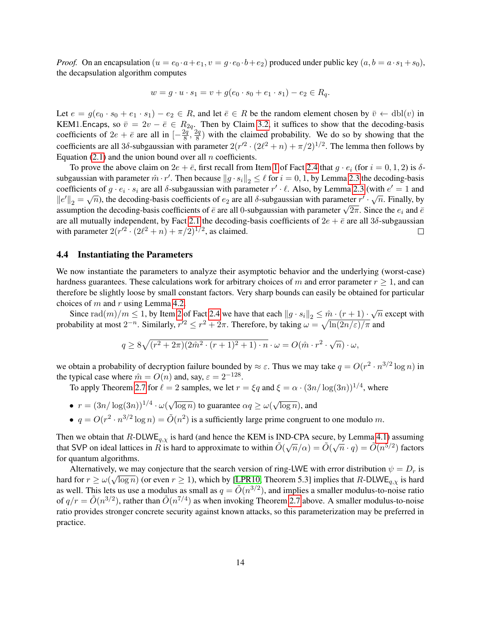*Proof.* On an encapsulation  $(u = e_0 \cdot a + e_1, v = g \cdot e_0 \cdot b + e_2)$  produced under public key  $(a, b = a \cdot s_1 + s_0)$ , the decapsulation algorithm computes

$$
w = g \cdot u \cdot s_1 = v + g(e_0 \cdot s_0 + e_1 \cdot s_1) - e_2 \in R_q.
$$

Let  $e = g(e_0 \cdot s_0 + e_1 \cdot s_1) - e_2 \in R$ , and let  $\overline{e} \in R$  be the random element chosen by  $\overline{v} \leftarrow \text{dbl}(v)$  in KEM1.Encaps, so  $\bar{v} = 2v - \bar{e} \in R_{2q}$ . Then by Claim [3.2,](#page-9-3) it suffices to show that the decoding-basis coefficients of  $2e + \bar{e}$  are all in  $\left[-\frac{2q}{8}\right]$  $\frac{2q}{8}, \frac{2q}{8}$  $\frac{2q}{8}$ ) with the claimed probability. We do so by showing that the coefficients are all 3δ-subgaussian with parameter  $2(r'^2 \cdot (2\ell^2 + n) + \pi/2)^{1/2}$ . The lemma then follows by Equation [\(2.1\)](#page-4-0) and the union bound over all  $n$  coefficients.

To prove the above claim on  $2e + \bar{e}$ , first recall from Item [1](#page-7-3) of Fact [2.4](#page-7-4) that  $g \cdot e_i$  (for  $i = 0, 1, 2$ ) is  $\delta$ subgaussian with parameter  $\hat{m} \cdot r'$ . Then because  $||g \cdot s_i||_2 \le \ell$  for  $i = 0, 1$ , by Lemma [2.3](#page-6-1) the decoding-basis coefficients of  $g \cdot e_i \cdot s_i$  are all  $\delta$ -subgaussian with parameter  $r' \cdot \ell$ . Also, by Lemma [2.3](#page-6-1) (with  $e' = 1$  and  $||e'||_2 = \sqrt{n}$ , the decoding-basis coefficients of  $e_2$  are all  $\delta$ -subgaussian with parameter  $r' \cdot \sqrt{n}$ . Finally, by  $||e||_2 = \sqrt{n}$ , the decoding-basis coefficients of  $e_2$  are all 0-subgaussian with parameter  $\sqrt{2\pi}$ . Since the  $e_i$  and  $\bar{e}$  assumption the decoding-basis coefficients of  $\bar{e}$  are all 0-subgaussian with parameter are all mutually independent, by Fact [2.1](#page-4-1) the decoding-basis coefficients of  $2e + \bar{e}$  are all  $3\delta$ -subgaussian with parameter  $2(r'^2 \cdot (2\ell^2 + n) + \pi/2)^{1/2}$ , as claimed.  $\Box$ 

#### 4.4 Instantiating the Parameters

We now instantiate the parameters to analyze their asymptotic behavior and the underlying (worst-case) hardness guarantees. These calculations work for arbitrary choices of m and error parameter  $r \geq 1$ , and can therefore be slightly loose by small constant factors. Very sharp bounds can easily be obtained for particular choices of  $m$  and  $r$  using Lemma [4.2.](#page-12-1)

Since  $rad(m)/m \le 1$ , by Item [2](#page-7-5) of Fact [2.4](#page-7-4) we have that each  $||g \cdot s_i||_2 \le \hat{m} \cdot (r+1) \cdot \sqrt{n}$  except with probability at most  $2^{-n}$ . Similarly,  $r'^2 \le r^2 + 2\pi$ . Therefore, by taking  $\omega = \sqrt{\ln(2n/\varepsilon)/\pi}$  and

$$
q \ge 8\sqrt{(r^2+2\pi)(2\hat{m}^2\cdot (r+1)^2+1)\cdot n} \cdot \omega = O(\hat{m}\cdot r^2\cdot \sqrt{n})\cdot \omega,
$$

we obtain a probability of decryption failure bounded by  $\approx \varepsilon$ . Thus we may take  $q = O(r^2 \cdot n^{3/2} \log n)$  in the typical case where  $\hat{m} = O(n)$  and, say,  $\varepsilon = 2^{-128}$ .

To apply Theorem [2.7](#page-7-1) for  $\ell = 2$  samples, we let  $r = \xi q$  and  $\xi = \alpha \cdot (3n/\log(3n))^{1/4}$ , where

- $r = (3n/\log(3n))^{1/4} \cdot \omega$ √  $\overline{\log n}$ ) to guarantee  $\alpha q \ge \omega($ √  $\overline{\log n}$ ), and
- $q = O(r^2 \cdot n^{3/2} \log n) = \tilde{O}(n^2)$  is a sufficiently large prime congruent to one modulo m.

Then we obtain that  $R$ -DLWE<sub>q, $\chi$ </sub> is hard (and hence the KEM is IND-CPA secure, by Lemma [4.1\)](#page-12-0) assuming that SVP on ideal lattices in R is hard to approximate to within  $\tilde{O}(\sqrt{n}/\alpha) = \tilde{O}(\sqrt{n} \cdot q) = \tilde{O}(n^{5/2})$  factors for quantum algorithms.

Alternatively, we may conjecture that the search version of ring-LWE with error distribution  $\psi = D_r$  is hard for  $r \ge \omega(\sqrt{\log n})$  (or even  $r \ge 1$ ), which by [\[LPR10,](#page-23-4) Theorem 5.3] implies that R-DLWE<sub>q,X</sub> is hard as well. This lets us use a modulus as small as  $q = \tilde{O}(n^{3/2})$ , and implies a smaller modulus-to-noise ratio of  $q/r = \tilde{O}(n^{3/2})$ , rather than  $\tilde{O}(n^{7/4})$  as when invoking Theorem [2.7](#page-7-1) above. A smaller modulus-to-noise ratio provides stronger concrete security against known attacks, so this parameterization may be preferred in practice.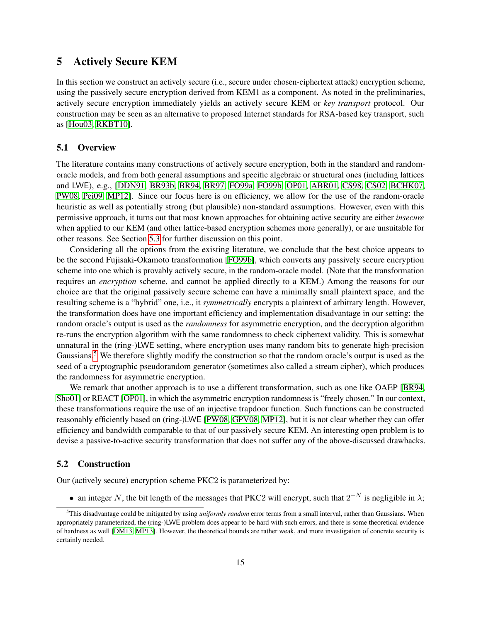# <span id="page-14-0"></span>5 Actively Secure KEM

In this section we construct an actively secure (i.e., secure under chosen-ciphertext attack) encryption scheme, using the passively secure encryption derived from KEM1 as a component. As noted in the preliminaries, actively secure encryption immediately yields an actively secure KEM or *key transport* protocol. Our construction may be seen as an alternative to proposed Internet standards for RSA-based key transport, such as [\[Hou03,](#page-22-6) [RKBT10\]](#page-23-11).

### 5.1 Overview

The literature contains many constructions of actively secure encryption, both in the standard and randomoracle models, and from both general assumptions and specific algebraic or structural ones (including lattices and LWE), e.g., [\[DDN91,](#page-21-3) [BR93b,](#page-20-3) [BR94,](#page-20-4) [BR97,](#page-21-11) [FO99a,](#page-21-4) [FO99b,](#page-22-10) [OP01,](#page-23-15) [ABR01,](#page-20-10) [CS98,](#page-21-5) [CS02,](#page-21-6) [BCHK07,](#page-20-5) [PW08,](#page-23-13) [Pei09,](#page-23-8) [MP12\]](#page-23-3). Since our focus here is on efficiency, we allow for the use of the random-oracle heuristic as well as potentially strong (but plausible) non-standard assumptions. However, even with this permissive approach, it turns out that most known approaches for obtaining active security are either *insecure* when applied to our KEM (and other lattice-based encryption schemes more generally), or are unsuitable for other reasons. See Section [5.3](#page-16-0) for further discussion on this point.

Considering all the options from the existing literature, we conclude that the best choice appears to be the second Fujisaki-Okamoto transformation [\[FO99b\]](#page-22-10), which converts any passively secure encryption scheme into one which is provably actively secure, in the random-oracle model. (Note that the transformation requires an *encryption* scheme, and cannot be applied directly to a KEM.) Among the reasons for our choice are that the original passively secure scheme can have a minimally small plaintext space, and the resulting scheme is a "hybrid" one, i.e., it *symmetrically* encrypts a plaintext of arbitrary length. However, the transformation does have one important efficiency and implementation disadvantage in our setting: the random oracle's output is used as the *randomness* for asymmetric encryption, and the decryption algorithm re-runs the encryption algorithm with the same randomness to check ciphertext validity. This is somewhat unnatural in the (ring-)LWE setting, where encryption uses many random bits to generate high-precision Gaussians.<sup>[5](#page-14-1)</sup> We therefore slightly modify the construction so that the random oracle's output is used as the seed of a cryptographic pseudorandom generator (sometimes also called a stream cipher), which produces the randomness for asymmetric encryption.

We remark that another approach is to use a different transformation, such as one like OAEP [\[BR94,](#page-20-4) [Sho01\]](#page-23-12) or REACT [\[OP01\]](#page-23-15), in which the asymmetric encryption randomness is "freely chosen." In our context, these transformations require the use of an injective trapdoor function. Such functions can be constructed reasonably efficiently based on (ring-)LWE [\[PW08,](#page-23-13) [GPV08,](#page-22-4) [MP12\]](#page-23-3), but it is not clear whether they can offer efficiency and bandwidth comparable to that of our passively secure KEM. An interesting open problem is to devise a passive-to-active security transformation that does not suffer any of the above-discussed drawbacks.

### 5.2 Construction

Our (actively secure) encryption scheme PKC2 is parameterized by:

• an integer N, the bit length of the messages that PKC2 will encrypt, such that  $2^{-N}$  is negligible in  $\lambda$ ;

<span id="page-14-1"></span><sup>5</sup>This disadvantage could be mitigated by using *uniformly random* error terms from a small interval, rather than Gaussians. When appropriately parameterized, the (ring-)LWE problem does appear to be hard with such errors, and there is some theoretical evidence of hardness as well [\[DM13,](#page-21-12) [MP13\]](#page-23-16). However, the theoretical bounds are rather weak, and more investigation of concrete security is certainly needed.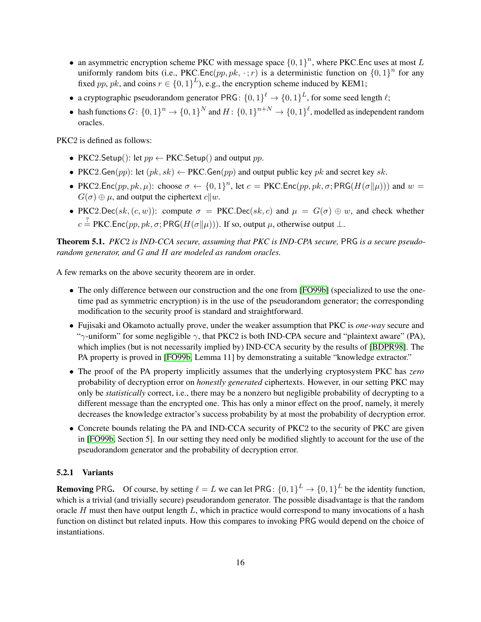- an asymmetric encryption scheme PKC with message space  $\{0, 1\}^n$ , where PKC. Enc uses at most L uniformly random bits (i.e., PKC.Enc(pp, pk,  $\cdot$ ; r) is a deterministic function on  $\{0,1\}^n$  for any fixed pp, pk, and coins  $r \in \{0, 1\}^L$ ), e.g., the encryption scheme induced by KEM1;
- a cryptographic pseudorandom generator PRG:  $\{0,1\}^{\ell} \rightarrow \{0,1\}^{L}$ , for some seed length  $\ell$ ;
- hash functions  $G: \{0,1\}^n \to \{0,1\}^N$  and  $H: \{0,1\}^{n+N} \to \{0,1\}^{\ell}$ , modelled as independent random oracles.

PKC2 is defined as follows:

- PKC2.Setup(): let  $pp \leftarrow PKC.$ Setup() and output  $pp$ .
- PKC2.Gen(pp): let  $(pk, sk) \leftarrow PKC.Gen(pp)$  and output public key pk and secret key sk.
- PKC2.Enc $(pp, pk, \mu)$ : choose  $\sigma \leftarrow \{0, 1\}^n$ , let  $c = PKC$ .Enc $(pp, pk, \sigma; PRG(H(\sigma||\mu)))$  and  $w =$  $G(\sigma) \oplus \mu$ , and output the ciphertext  $c||w$ .
- PKC2.Dec(sk, (c, w)): compute  $\sigma$  = PKC.Dec(sk, c) and  $\mu = G(\sigma) \oplus w$ , and check whether  $c \stackrel{?}{=} PKC.Enc(pp, pk, \sigma; PRG(H(\sigma || \mu)))$ . If so, output  $\mu$ , otherwise output  $\bot$ .

Theorem 5.1. *PKC*2 *is IND-CCA secure, assuming that PKC is IND-CPA secure,* PRG *is a secure pseudorandom generator, and* G *and* H *are modeled as random oracles.*

A few remarks on the above security theorem are in order.

- The only difference between our construction and the one from [\[FO99b\]](#page-22-10) (specialized to use the onetime pad as symmetric encryption) is in the use of the pseudorandom generator; the corresponding modification to the security proof is standard and straightforward.
- Fujisaki and Okamoto actually prove, under the weaker assumption that PKC is *one-way* secure and "γ-uniform" for some negligible  $\gamma$ , that PKC2 is both IND-CPA secure and "plaintext aware" (PA), which implies (but is not necessarily implied by) IND-CCA security by the results of [\[BDPR98\]](#page-20-11). The PA property is proved in [\[FO99b,](#page-22-10) Lemma 11] by demonstrating a suitable "knowledge extractor."
- The proof of the PA property implicitly assumes that the underlying cryptosystem PKC has *zero* probability of decryption error on *honestly generated* ciphertexts. However, in our setting PKC may only be *statistically* correct, i.e., there may be a nonzero but negligible probability of decrypting to a different message than the encrypted one. This has only a minor effect on the proof, namely, it merely decreases the knowledge extractor's success probability by at most the probability of decryption error.
- Concrete bounds relating the PA and IND-CCA security of PKC2 to the security of PKC are given in [\[FO99b,](#page-22-10) Section 5]. In our setting they need only be modified slightly to account for the use of the pseudorandom generator and the probability of decryption error.

#### 5.2.1 Variants

**Removing** PRG. Of course, by setting  $\ell = L$  we can let PRG:  $\{0,1\}^L \to \{0,1\}^L$  be the identity function, which is a trivial (and trivially secure) pseudorandom generator. The possible disadvantage is that the random oracle H must then have output length  $L$ , which in practice would correspond to many invocations of a hash function on distinct but related inputs. How this compares to invoking PRG would depend on the choice of instantiations.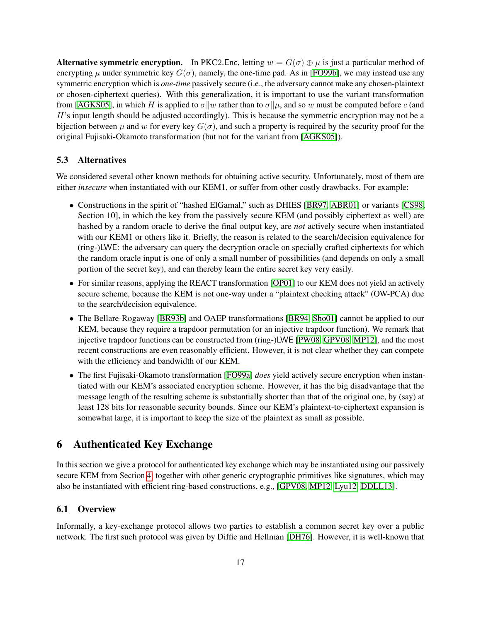Alternative symmetric encryption. In PKC2.Enc, letting  $w = G(\sigma) \oplus \mu$  is just a particular method of encrypting  $\mu$  under symmetric key  $G(\sigma)$ , namely, the one-time pad. As in [\[FO99b\]](#page-22-10), we may instead use any symmetric encryption which is *one-time* passively secure (i.e., the adversary cannot make any chosen-plaintext or chosen-ciphertext queries). With this generalization, it is important to use the variant transformation from [\[AGKS05\]](#page-20-12), in which H is applied to  $\sigma \|w$  rather than to  $\sigma \|u$ , and so w must be computed before c (and  $H$ 's input length should be adjusted accordingly). This is because the symmetric encryption may not be a bijection between  $\mu$  and w for every key  $G(\sigma)$ , and such a property is required by the security proof for the original Fujisaki-Okamoto transformation (but not for the variant from [\[AGKS05\]](#page-20-12)).

# <span id="page-16-0"></span>5.3 Alternatives

We considered several other known methods for obtaining active security. Unfortunately, most of them are either *insecure* when instantiated with our KEM1, or suffer from other costly drawbacks. For example:

- Constructions in the spirit of "hashed ElGamal," such as DHIES [\[BR97,](#page-21-11) [ABR01\]](#page-20-10) or variants [\[CS98,](#page-21-5) Section 10], in which the key from the passively secure KEM (and possibly ciphertext as well) are hashed by a random oracle to derive the final output key, are *not* actively secure when instantiated with our KEM1 or others like it. Briefly, the reason is related to the search/decision equivalence for (ring-)LWE: the adversary can query the decryption oracle on specially crafted ciphertexts for which the random oracle input is one of only a small number of possibilities (and depends on only a small portion of the secret key), and can thereby learn the entire secret key very easily.
- For similar reasons, applying the REACT transformation [\[OP01\]](#page-23-15) to our KEM does not yield an actively secure scheme, because the KEM is not one-way under a "plaintext checking attack" (OW-PCA) due to the search/decision equivalence.
- The Bellare-Rogaway [\[BR93b\]](#page-20-3) and OAEP transformations [\[BR94,](#page-20-4) [Sho01\]](#page-23-12) cannot be applied to our KEM, because they require a trapdoor permutation (or an injective trapdoor function). We remark that injective trapdoor functions can be constructed from (ring-)LWE [\[PW08,](#page-23-13) [GPV08,](#page-22-4) [MP12\]](#page-23-3), and the most recent constructions are even reasonably efficient. However, it is not clear whether they can compete with the efficiency and bandwidth of our KEM.
- The first Fujisaki-Okamoto transformation [\[FO99a\]](#page-21-4) *does* yield actively secure encryption when instantiated with our KEM's associated encryption scheme. However, it has the big disadvantage that the message length of the resulting scheme is substantially shorter than that of the original one, by (say) at least 128 bits for reasonable security bounds. Since our KEM's plaintext-to-ciphertext expansion is somewhat large, it is important to keep the size of the plaintext as small as possible.

# <span id="page-16-1"></span>6 Authenticated Key Exchange

In this section we give a protocol for authenticated key exchange which may be instantiated using our passively secure KEM from Section [4,](#page-10-0) together with other generic cryptographic primitives like signatures, which may also be instantiated with efficient ring-based constructions, e.g., [\[GPV08,](#page-22-4) [MP12,](#page-23-3) [Lyu12,](#page-23-2) [DDLL13\]](#page-21-0).

### 6.1 Overview

Informally, a key-exchange protocol allows two parties to establish a common secret key over a public network. The first such protocol was given by Diffie and Hellman [\[DH76\]](#page-21-2). However, it is well-known that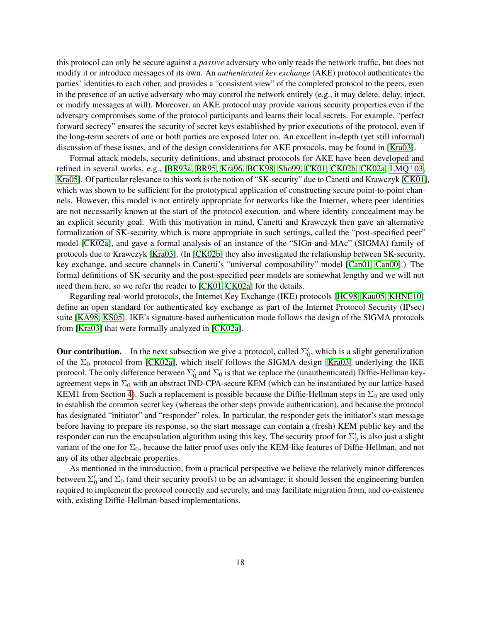this protocol can only be secure against a *passive* adversary who only reads the network traffic, but does not modify it or introduce messages of its own. An *authenticated key exchange* (AKE) protocol authenticates the parties' identities to each other, and provides a "consistent view" of the completed protocol to the peers, even in the presence of an active adversary who may control the network entirely (e.g., it may delete, delay, inject, or modify messages at will). Moreover, an AKE protocol may provide various security properties even if the adversary compromises some of the protocol participants and learns their local secrets. For example, "perfect forward secrecy" ensures the security of secret keys established by prior executions of the protocol, even if the long-term secrets of one or both parties are exposed later on. An excellent in-depth (yet still informal) discussion of these issues, and of the design considerations for AKE protocols, may be found in [\[Kra03\]](#page-22-14).

Formal attack models, security definitions, and abstract protocols for AKE have been developed and refined in several works, e.g., [\[BR93a,](#page-20-6) [BR95,](#page-20-7) [Kra96,](#page-22-11) [BCK98,](#page-20-8) [Sho99,](#page-23-14) [CK01,](#page-21-7) [CK02b,](#page-21-8) [CK02a,](#page-21-9) [LMQ](#page-22-12)<sup>+</sup>03, [Kra05\]](#page-22-13). Of particular relevance to this work is the notion of "SK-security" due to Canetti and Krawczyk [\[CK01\]](#page-21-7), which was shown to be sufficient for the prototypical application of constructing secure point-to-point channels. However, this model is not entirely appropriate for networks like the Internet, where peer identities are not necessarily known at the start of the protocol execution, and where identity concealment may be an explicit security goal. With this motivation in mind, Canetti and Krawczyk then gave an alternative formalization of SK-security which is more appropriate in such settings, called the "post-specified peer" model [\[CK02a\]](#page-21-9), and gave a formal analysis of an instance of the "SIGn-and-MAc" (SIGMA) family of protocols due to Krawczyk [\[Kra03\]](#page-22-14). (In [\[CK02b\]](#page-21-8) they also investigated the relationship between SK-security, key exchange, and secure channels in Canetti's "universal composability" model [\[Can01,](#page-21-13) [Can00\]](#page-21-14).) The formal definitions of SK-security and the post-specified peer models are somewhat lengthy and we will not need them here, so we refer the reader to [\[CK01,](#page-21-7) [CK02a\]](#page-21-9) for the details.

Regarding real-world protocols, the Internet Key Exchange (IKE) protocols [\[HC98,](#page-22-7) [Kau05,](#page-22-8) [KHNE10\]](#page-22-9) define an open standard for authenticated key exchange as part of the Internet Protocol Security (IPsec) suite [\[KA98,](#page-22-15) [KS05\]](#page-22-16). IKE's signature-based authentication mode follows the design of the SIGMA protocols from [\[Kra03\]](#page-22-14) that were formally analyzed in [\[CK02a\]](#page-21-9).

**Our contribution.** In the next subsection we give a protocol, called  $\Sigma'_0$ , which is a slight generalization of the  $\Sigma_0$  protocol from [\[CK02a\]](#page-21-9), which itself follows the SIGMA design [\[Kra03\]](#page-22-14) underlying the IKE protocol. The only difference between  $\Sigma'_0$  and  $\Sigma_0$  is that we replace the (unauthenticated) Diffie-Hellman keyagreement steps in  $\Sigma_0$  with an abstract IND-CPA-secure KEM (which can be instantiated by our lattice-based KEM1 from Section [4\)](#page-10-0). Such a replacement is possible because the Diffie-Hellman steps in  $\Sigma_0$  are used only to establish the common secret key (whereas the other steps provide authentication), and because the protocol has designated "initiator" and "responder" roles. In particular, the responder gets the initiator's start message before having to prepare its response, so the start message can contain a (fresh) KEM public key and the responder can run the encapsulation algorithm using this key. The security proof for  $\Sigma'_0$  is also just a slight variant of the one for  $\Sigma_0$ , because the latter proof uses only the KEM-like features of Diffie-Hellman, and not any of its other algebraic properties.

As mentioned in the introduction, from a practical perspective we believe the relatively minor differences between  $\Sigma'_0$  and  $\Sigma_0$  (and their security proofs) to be an advantage: it should lessen the engineering burden required to implement the protocol correctly and securely, and may facilitate migration from, and co-existence with, existing Diffie-Hellman-based implementations.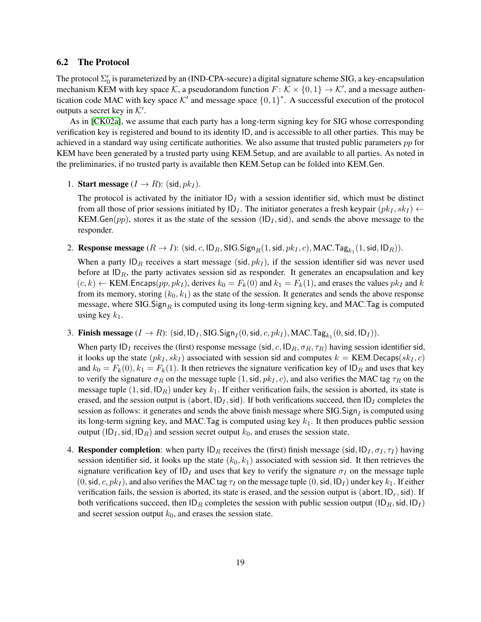#### 6.2 The Protocol

The protocol  $\Sigma_0'$  is parameterized by an (IND-CPA-secure) a digital signature scheme SIG, a key-encapsulation mechanism KEM with key space K, a pseudorandom function  $F : \mathcal{K} \times \{0, 1\} \to \mathcal{K}'$ , and a message authentication code MAC with key space  $\mathcal{K}'$  and message space  $\{0,1\}^*$ . A successful execution of the protocol outputs a secret key in  $K'$ .

As in [\[CK02a\]](#page-21-9), we assume that each party has a long-term signing key for SIG whose corresponding verification key is registered and bound to its identity ID, and is accessible to all other parties. This may be achieved in a standard way using certificate authorities. We also assume that trusted public parameters pp for KEM have been generated by a trusted party using KEM.Setup, and are available to all parties. As noted in the preliminaries, if no trusted party is available then KEM.Setup can be folded into KEM.Gen.

1. Start message  $(I \rightarrow R)$ : (sid,  $pk_I$ ).

The protocol is activated by the initiator  $ID<sub>I</sub>$  with a session identifier sid, which must be distinct from all those of prior sessions initiated by  $|D_I$ . The initiator generates a fresh keypair  $(pk_I, sk_I) \leftarrow$ KEM.Gen(pp), stores it as the state of the session (ID<sub>I</sub>, sid), and sends the above message to the responder.

2. Response message  $(R \to I)$ : (sid,  $c$ , ID $_R$ , SIG.Sign $_R(1, \text{sid}, pk_I, c)$ , MAC.Tag $_{k_1}(1, \text{sid}, \text{ID}_R)$ ).

When a party  $ID_R$  receives a start message (sid,  $pk_I$ ), if the session identifier sid was never used before at  $ID_R$ , the party activates session sid as responder. It generates an encapsulation and key  $(c, k) \leftarrow$  KEM. Encaps $(pp, pk_I)$ , derives  $k_0 = F_k(0)$  and  $k_1 = F_k(1)$ , and erases the values  $pk_I$  and k from its memory, storing  $(k_0, k_1)$  as the state of the session. It generates and sends the above response message, where SIG. Sign<sub>R</sub> is computed using its long-term signing key, and MAC. Tag is computed using key  $k_1$ .

3. Finish message  $(I \to R)$ : (sid, ID<sub>I</sub>, SIG.Sign<sub>I</sub>(0, sid,  $c, pk_I$ ), MAC.Tag<sub>k<sub>1</sub></sub>(0, sid, ID<sub>I</sub>)).

When party ID<sub>I</sub> receives the (first) response message (sid, c,  $ID_R$ ,  $\sigma_R$ ,  $\tau_R$ ) having session identifier sid, it looks up the state  $(pk_I, sk_I)$  associated with session sid and computes  $k = \text{KEM.Decaps}(sk_I, c)$ and  $k_0 = F_k(0), k_1 = F_k(1)$ . It then retrieves the signature verification key of  $ID_R$  and uses that key to verify the signature  $\sigma_R$  on the message tuple (1, sid, pk<sub>I</sub>, c), and also verifies the MAC tag  $\tau_R$  on the message tuple  $(1, \text{sid}, \text{ID}_R)$  under key  $k_1$ . If either verification fails, the session is aborted, its state is erased, and the session output is (abort,  $ID<sub>I</sub>$ , sid). If both verifications succeed, then  $ID<sub>I</sub>$  completes the session as follows: it generates and sends the above finish message where  $SIGSign_I$  is computed using its long-term signing key, and MAC. Tag is computed using key  $k_1$ . It then produces public session output (ID<sub>I</sub>, sid, ID<sub>R</sub>) and session secret output  $k_0$ , and erases the session state.

4. Responder completion: when party  $ID_R$  receives the (first) finish message (sid,  $ID_I, \sigma_I, \tau_I$ ) having session identifier sid, it looks up the state  $(k_0, k_1)$  associated with session sid. It then retrieves the signature verification key of  $|D_I|$  and uses that key to verify the signature  $\sigma_I$  on the message tuple  $(0, \text{sid}, c, pk_I)$ , and also verifies the MAC tag  $\tau_I$  on the message tuple  $(0, \text{sid}, \text{ID}_I)$  under key  $k_1$ . If either verification fails, the session is aborted, its state is erased, and the session output is (abort,  $ID_r$ , sid). If both verifications succeed, then  $ID_R$  completes the session with public session output  $(ID_R, sid, ID_I )$ and secret session output  $k_0$ , and erases the session state.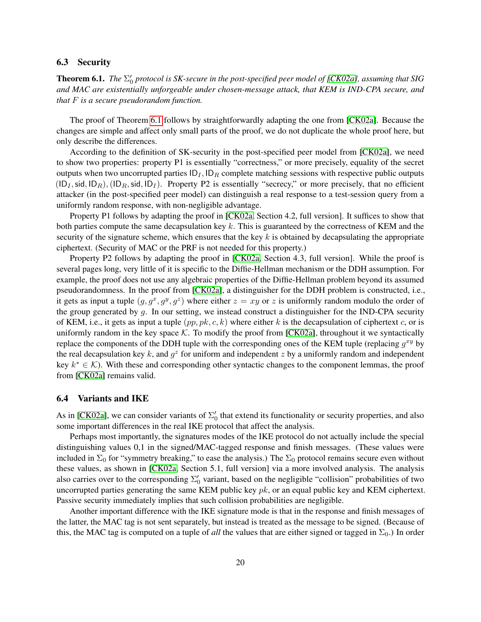#### 6.3 Security

<span id="page-19-0"></span>**Theorem 6.1.** The  $\Sigma_0'$  protocol is SK-secure in the post-specified peer model of [\[CK02a\]](#page-21-9), assuming that SIG *and MAC are existentially unforgeable under chosen-message attack, that KEM is IND-CPA secure, and that* F *is a secure pseudorandom function.*

The proof of Theorem [6.1](#page-19-0) follows by straightforwardly adapting the one from [\[CK02a\]](#page-21-9). Because the changes are simple and affect only small parts of the proof, we do not duplicate the whole proof here, but only describe the differences.

According to the definition of SK-security in the post-specified peer model from [\[CK02a\]](#page-21-9), we need to show two properties: property P1 is essentially "correctness," or more precisely, equality of the secret outputs when two uncorrupted parties  $ID_I$ ,  $ID_R$  complete matching sessions with respective public outputs  $(ID<sub>I</sub>, sid, ID<sub>R</sub>),(ID<sub>R</sub>, sid, ID<sub>I</sub>)$ . Property P2 is essentially "secrecy," or more precisely, that no efficient attacker (in the post-specified peer model) can distinguish a real response to a test-session query from a uniformly random response, with non-negligible advantage.

Property P1 follows by adapting the proof in [\[CK02a,](#page-21-9) Section 4.2, full version]. It suffices to show that both parties compute the same decapsulation key  $k$ . This is guaranteed by the correctness of KEM and the security of the signature scheme, which ensures that the key  $k$  is obtained by decapsulating the appropriate ciphertext. (Security of MAC or the PRF is not needed for this property.)

Property P2 follows by adapting the proof in [\[CK02a,](#page-21-9) Section 4.3, full version]. While the proof is several pages long, very little of it is specific to the Diffie-Hellman mechanism or the DDH assumption. For example, the proof does not use any algebraic properties of the Diffie-Hellman problem beyond its assumed pseudorandomness. In the proof from [\[CK02a\]](#page-21-9), a distinguisher for the DDH problem is constructed, i.e., it gets as input a tuple  $(g, g^x, g^y, g^z)$  where either  $z = xy$  or z is uniformly random modulo the order of the group generated by q. In our setting, we instead construct a distinguisher for the IND-CPA security of KEM, i.e., it gets as input a tuple  $(pp, pk, c, k)$  where either k is the decapsulation of ciphertext c, or is uniformly random in the key space  $K$ . To modify the proof from [\[CK02a\]](#page-21-9), throughout it we syntactically replace the components of the DDH tuple with the corresponding ones of the KEM tuple (replacing  $g^{xy}$  by the real decapsulation key k, and  $g^z$  for uniform and independent z by a uniformly random and independent key  $k^* \in \mathcal{K}$ ). With these and corresponding other syntactic changes to the component lemmas, the proof from [\[CK02a\]](#page-21-9) remains valid.

#### 6.4 Variants and IKE

As in [\[CK02a\]](#page-21-9), we can consider variants of  $\Sigma'_0$  that extend its functionality or security properties, and also some important differences in the real IKE protocol that affect the analysis.

Perhaps most importantly, the signatures modes of the IKE protocol do not actually include the special distinguishing values 0,1 in the signed/MAC-tagged response and finish messages. (These values were included in  $\Sigma_0$  for "symmetry breaking," to ease the analysis.) The  $\Sigma_0$  protocol remains secure even without these values, as shown in [\[CK02a,](#page-21-9) Section 5.1, full version] via a more involved analysis. The analysis also carries over to the corresponding  $\Sigma'_0$  variant, based on the negligible "collision" probabilities of two uncorrupted parties generating the same KEM public key  $pk$ , or an equal public key and KEM ciphertext. Passive security immediately implies that such collision probabilities are negligible.

Another important difference with the IKE signature mode is that in the response and finish messages of the latter, the MAC tag is not sent separately, but instead is treated as the message to be signed. (Because of this, the MAC tag is computed on a tuple of *all* the values that are either signed or tagged in  $\Sigma_0$ .) In order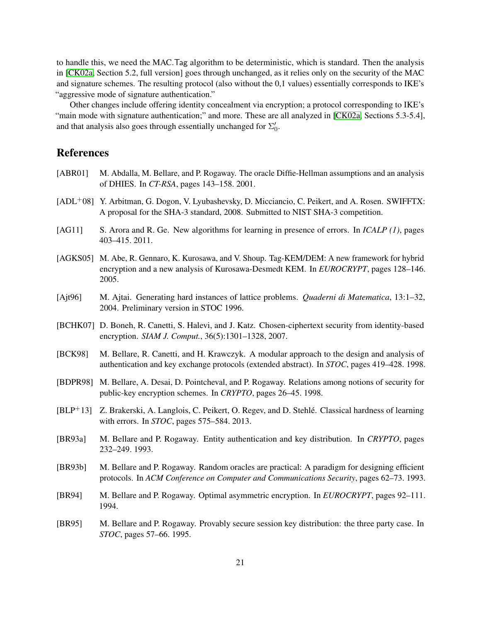to handle this, we need the MAC.Tag algorithm to be deterministic, which is standard. Then the analysis in [\[CK02a,](#page-21-9) Section 5.2, full version] goes through unchanged, as it relies only on the security of the MAC and signature schemes. The resulting protocol (also without the 0,1 values) essentially corresponds to IKE's "aggressive mode of signature authentication."

Other changes include offering identity concealment via encryption; a protocol corresponding to IKE's "main mode with signature authentication;" and more. These are all analyzed in [\[CK02a,](#page-21-9) Sections 5.3-5.4], and that analysis also goes through essentially unchanged for  $\Sigma'_0$ .

# **References**

- <span id="page-20-10"></span>[ABR01] M. Abdalla, M. Bellare, and P. Rogaway. The oracle Diffie-Hellman assumptions and an analysis of DHIES. In *CT-RSA*, pages 143–158. 2001.
- <span id="page-20-0"></span>[ADL+08] Y. Arbitman, G. Dogon, V. Lyubashevsky, D. Micciancio, C. Peikert, and A. Rosen. SWIFFTX: A proposal for the SHA-3 standard, 2008. Submitted to NIST SHA-3 competition.
- <span id="page-20-9"></span>[AG11] S. Arora and R. Ge. New algorithms for learning in presence of errors. In *ICALP (1)*, pages 403–415. 2011.
- <span id="page-20-12"></span>[AGKS05] M. Abe, R. Gennaro, K. Kurosawa, and V. Shoup. Tag-KEM/DEM: A new framework for hybrid encryption and a new analysis of Kurosawa-Desmedt KEM. In *EUROCRYPT*, pages 128–146. 2005.
- <span id="page-20-1"></span>[Ajt96] M. Ajtai. Generating hard instances of lattice problems. *Quaderni di Matematica*, 13:1–32, 2004. Preliminary version in STOC 1996.
- <span id="page-20-5"></span>[BCHK07] D. Boneh, R. Canetti, S. Halevi, and J. Katz. Chosen-ciphertext security from identity-based encryption. *SIAM J. Comput.*, 36(5):1301–1328, 2007.
- <span id="page-20-8"></span>[BCK98] M. Bellare, R. Canetti, and H. Krawczyk. A modular approach to the design and analysis of authentication and key exchange protocols (extended abstract). In *STOC*, pages 419–428. 1998.
- <span id="page-20-11"></span>[BDPR98] M. Bellare, A. Desai, D. Pointcheval, and P. Rogaway. Relations among notions of security for public-key encryption schemes. In *CRYPTO*, pages 26–45. 1998.
- <span id="page-20-2"></span>[BLP+13] Z. Brakerski, A. Langlois, C. Peikert, O. Regev, and D. Stehle. Classical hardness of learning ´ with errors. In *STOC*, pages 575–584. 2013.
- <span id="page-20-6"></span>[BR93a] M. Bellare and P. Rogaway. Entity authentication and key distribution. In *CRYPTO*, pages 232–249. 1993.
- <span id="page-20-3"></span>[BR93b] M. Bellare and P. Rogaway. Random oracles are practical: A paradigm for designing efficient protocols. In *ACM Conference on Computer and Communications Security*, pages 62–73. 1993.
- <span id="page-20-4"></span>[BR94] M. Bellare and P. Rogaway. Optimal asymmetric encryption. In *EUROCRYPT*, pages 92–111. 1994.
- <span id="page-20-7"></span>[BR95] M. Bellare and P. Rogaway. Provably secure session key distribution: the three party case. In *STOC*, pages 57–66. 1995.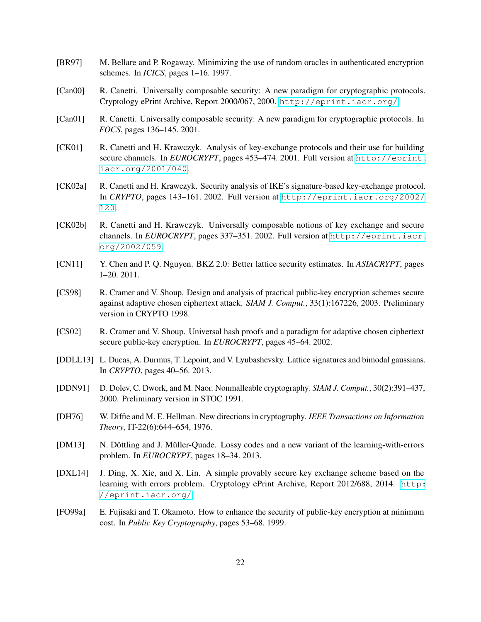- <span id="page-21-11"></span>[BR97] M. Bellare and P. Rogaway. Minimizing the use of random oracles in authenticated encryption schemes. In *ICICS*, pages 1–16. 1997.
- <span id="page-21-14"></span>[Can00] R. Canetti. Universally composable security: A new paradigm for cryptographic protocols. Cryptology ePrint Archive, Report 2000/067, 2000. <http://eprint.iacr.org/>.
- <span id="page-21-13"></span>[Can01] R. Canetti. Universally composable security: A new paradigm for cryptographic protocols. In *FOCS*, pages 136–145. 2001.
- <span id="page-21-7"></span>[CK01] R. Canetti and H. Krawczyk. Analysis of key-exchange protocols and their use for building secure channels. In *EUROCRYPT*, pages 453–474. 2001. Full version at [http://eprint.](http://eprint.iacr.org/2001/040) [iacr.org/2001/040](http://eprint.iacr.org/2001/040).
- <span id="page-21-9"></span>[CK02a] R. Canetti and H. Krawczyk. Security analysis of IKE's signature-based key-exchange protocol. In *CRYPTO*, pages 143–161. 2002. Full version at [http://eprint.iacr.org/2002/](http://eprint.iacr.org/2002/120) [120](http://eprint.iacr.org/2002/120).
- <span id="page-21-8"></span>[CK02b] R. Canetti and H. Krawczyk. Universally composable notions of key exchange and secure channels. In *EUROCRYPT*, pages 337–351. 2002. Full version at [http://eprint.iacr.](http://eprint.iacr.org/2002/059) [org/2002/059](http://eprint.iacr.org/2002/059).
- <span id="page-21-1"></span>[CN11] Y. Chen and P. Q. Nguyen. BKZ 2.0: Better lattice security estimates. In *ASIACRYPT*, pages 1–20. 2011.
- <span id="page-21-5"></span>[CS98] R. Cramer and V. Shoup. Design and analysis of practical public-key encryption schemes secure against adaptive chosen ciphertext attack. *SIAM J. Comput.*, 33(1):167226, 2003. Preliminary version in CRYPTO 1998.
- <span id="page-21-6"></span>[CS02] R. Cramer and V. Shoup. Universal hash proofs and a paradigm for adaptive chosen ciphertext secure public-key encryption. In *EUROCRYPT*, pages 45–64. 2002.
- <span id="page-21-0"></span>[DDLL13] L. Ducas, A. Durmus, T. Lepoint, and V. Lyubashevsky. Lattice signatures and bimodal gaussians. In *CRYPTO*, pages 40–56. 2013.
- <span id="page-21-3"></span>[DDN91] D. Dolev, C. Dwork, and M. Naor. Nonmalleable cryptography. *SIAM J. Comput.*, 30(2):391–437, 2000. Preliminary version in STOC 1991.
- <span id="page-21-2"></span>[DH76] W. Diffie and M. E. Hellman. New directions in cryptography. *IEEE Transactions on Information Theory*, IT-22(6):644–654, 1976.
- <span id="page-21-12"></span>[DM13] N. Döttling and J. Müller-Quade. Lossy codes and a new variant of the learning-with-errors problem. In *EUROCRYPT*, pages 18–34. 2013.
- <span id="page-21-10"></span>[DXL14] J. Ding, X. Xie, and X. Lin. A simple provably secure key exchange scheme based on the learning with errors problem. Cryptology ePrint Archive, Report 2012/688, 2014. [http:](http://eprint.iacr.org/) [//eprint.iacr.org/](http://eprint.iacr.org/).
- <span id="page-21-4"></span>[FO99a] E. Fujisaki and T. Okamoto. How to enhance the security of public-key encryption at minimum cost. In *Public Key Cryptography*, pages 53–68. 1999.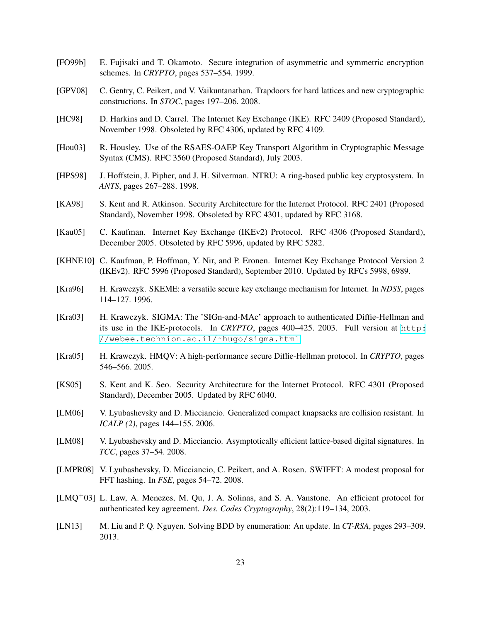- <span id="page-22-10"></span>[FO99b] E. Fujisaki and T. Okamoto. Secure integration of asymmetric and symmetric encryption schemes. In *CRYPTO*, pages 537–554. 1999.
- <span id="page-22-4"></span>[GPV08] C. Gentry, C. Peikert, and V. Vaikuntanathan. Trapdoors for hard lattices and new cryptographic constructions. In *STOC*, pages 197–206. 2008.
- <span id="page-22-7"></span>[HC98] D. Harkins and D. Carrel. The Internet Key Exchange (IKE). RFC 2409 (Proposed Standard), November 1998. Obsoleted by RFC 4306, updated by RFC 4109.
- <span id="page-22-6"></span>[Hou03] R. Housley. Use of the RSAES-OAEP Key Transport Algorithm in Cryptographic Message Syntax (CMS). RFC 3560 (Proposed Standard), July 2003.
- <span id="page-22-1"></span>[HPS98] J. Hoffstein, J. Pipher, and J. H. Silverman. NTRU: A ring-based public key cryptosystem. In *ANTS*, pages 267–288. 1998.
- <span id="page-22-15"></span>[KA98] S. Kent and R. Atkinson. Security Architecture for the Internet Protocol. RFC 2401 (Proposed Standard), November 1998. Obsoleted by RFC 4301, updated by RFC 3168.
- <span id="page-22-8"></span>[Kau05] C. Kaufman. Internet Key Exchange (IKEv2) Protocol. RFC 4306 (Proposed Standard), December 2005. Obsoleted by RFC 5996, updated by RFC 5282.
- <span id="page-22-9"></span>[KHNE10] C. Kaufman, P. Hoffman, Y. Nir, and P. Eronen. Internet Key Exchange Protocol Version 2 (IKEv2). RFC 5996 (Proposed Standard), September 2010. Updated by RFCs 5998, 6989.
- <span id="page-22-11"></span>[Kra96] H. Krawczyk. SKEME: a versatile secure key exchange mechanism for Internet. In *NDSS*, pages 114–127. 1996.
- <span id="page-22-14"></span>[Kra03] H. Krawczyk. SIGMA: The 'SIGn-and-MAc' approach to authenticated Diffie-Hellman and its use in the IKE-protocols. In *CRYPTO*, pages 400–425. 2003. Full version at [http:](http://webee.technion.ac.il/~hugo/sigma.html) [//webee.technion.ac.il/˜hugo/sigma.html](http://webee.technion.ac.il/~hugo/sigma.html).
- <span id="page-22-13"></span>[Kra05] H. Krawczyk. HMQV: A high-performance secure Diffie-Hellman protocol. In *CRYPTO*, pages 546–566. 2005.
- <span id="page-22-16"></span>[KS05] S. Kent and K. Seo. Security Architecture for the Internet Protocol. RFC 4301 (Proposed Standard), December 2005. Updated by RFC 6040.
- <span id="page-22-0"></span>[LM06] V. Lyubashevsky and D. Micciancio. Generalized compact knapsacks are collision resistant. In *ICALP (2)*, pages 144–155. 2006.
- <span id="page-22-3"></span>[LM08] V. Lyubashevsky and D. Micciancio. Asymptotically efficient lattice-based digital signatures. In *TCC*, pages 37–54. 2008.
- <span id="page-22-2"></span>[LMPR08] V. Lyubashevsky, D. Micciancio, C. Peikert, and A. Rosen. SWIFFT: A modest proposal for FFT hashing. In *FSE*, pages 54–72. 2008.
- <span id="page-22-12"></span> $[LMQ^+03]$  L. Law, A. Menezes, M. Qu, J. A. Solinas, and S. A. Vanstone. An efficient protocol for authenticated key agreement. *Des. Codes Cryptography*, 28(2):119–134, 2003.
- <span id="page-22-5"></span>[LN13] M. Liu and P. Q. Nguyen. Solving BDD by enumeration: An update. In *CT-RSA*, pages 293–309. 2013.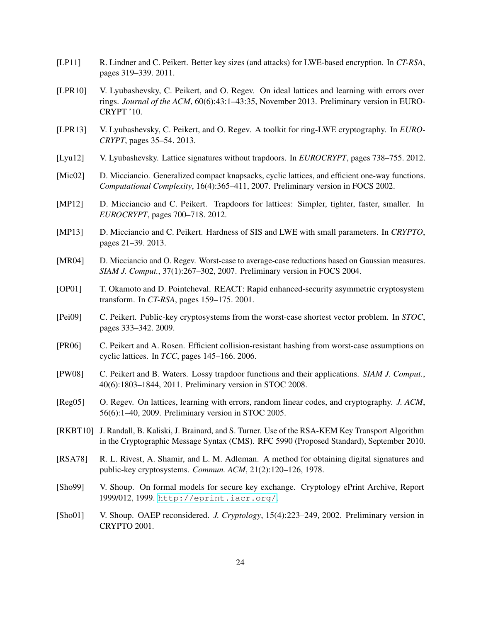- <span id="page-23-9"></span>[LP11] R. Lindner and C. Peikert. Better key sizes (and attacks) for LWE-based encryption. In *CT-RSA*, pages 319–339. 2011.
- <span id="page-23-4"></span>[LPR10] V. Lyubashevsky, C. Peikert, and O. Regev. On ideal lattices and learning with errors over rings. *Journal of the ACM*, 60(6):43:1–43:35, November 2013. Preliminary version in EURO-CRYPT '10.
- <span id="page-23-5"></span>[LPR13] V. Lyubashevsky, C. Peikert, and O. Regev. A toolkit for ring-LWE cryptography. In *EURO-CRYPT*, pages 35–54. 2013.
- <span id="page-23-2"></span>[Lyu12] V. Lyubashevsky. Lattice signatures without trapdoors. In *EUROCRYPT*, pages 738–755. 2012.
- <span id="page-23-0"></span>[Mic02] D. Micciancio. Generalized compact knapsacks, cyclic lattices, and efficient one-way functions. *Computational Complexity*, 16(4):365–411, 2007. Preliminary version in FOCS 2002.
- <span id="page-23-3"></span>[MP12] D. Micciancio and C. Peikert. Trapdoors for lattices: Simpler, tighter, faster, smaller. In *EUROCRYPT*, pages 700–718. 2012.
- <span id="page-23-16"></span>[MP13] D. Micciancio and C. Peikert. Hardness of SIS and LWE with small parameters. In *CRYPTO*, pages 21–39. 2013.
- <span id="page-23-6"></span>[MR04] D. Micciancio and O. Regev. Worst-case to average-case reductions based on Gaussian measures. *SIAM J. Comput.*, 37(1):267–302, 2007. Preliminary version in FOCS 2004.
- <span id="page-23-15"></span>[OP01] T. Okamoto and D. Pointcheval. REACT: Rapid enhanced-security asymmetric cryptosystem transform. In *CT-RSA*, pages 159–175. 2001.
- <span id="page-23-8"></span>[Pei09] C. Peikert. Public-key cryptosystems from the worst-case shortest vector problem. In *STOC*, pages 333–342. 2009.
- <span id="page-23-1"></span>[PR06] C. Peikert and A. Rosen. Efficient collision-resistant hashing from worst-case assumptions on cyclic lattices. In *TCC*, pages 145–166. 2006.
- <span id="page-23-13"></span>[PW08] C. Peikert and B. Waters. Lossy trapdoor functions and their applications. *SIAM J. Comput.*, 40(6):1803–1844, 2011. Preliminary version in STOC 2008.
- <span id="page-23-7"></span>[Reg05] O. Regev. On lattices, learning with errors, random linear codes, and cryptography. *J. ACM*, 56(6):1–40, 2009. Preliminary version in STOC 2005.
- <span id="page-23-11"></span>[RKBT10] J. Randall, B. Kaliski, J. Brainard, and S. Turner. Use of the RSA-KEM Key Transport Algorithm in the Cryptographic Message Syntax (CMS). RFC 5990 (Proposed Standard), September 2010.
- <span id="page-23-10"></span>[RSA78] R. L. Rivest, A. Shamir, and L. M. Adleman. A method for obtaining digital signatures and public-key cryptosystems. *Commun. ACM*, 21(2):120–126, 1978.
- <span id="page-23-14"></span>[Sho99] V. Shoup. On formal models for secure key exchange. Cryptology ePrint Archive, Report 1999/012, 1999. <http://eprint.iacr.org/>.
- <span id="page-23-12"></span>[Sho01] V. Shoup. OAEP reconsidered. *J. Cryptology*, 15(4):223–249, 2002. Preliminary version in CRYPTO 2001.